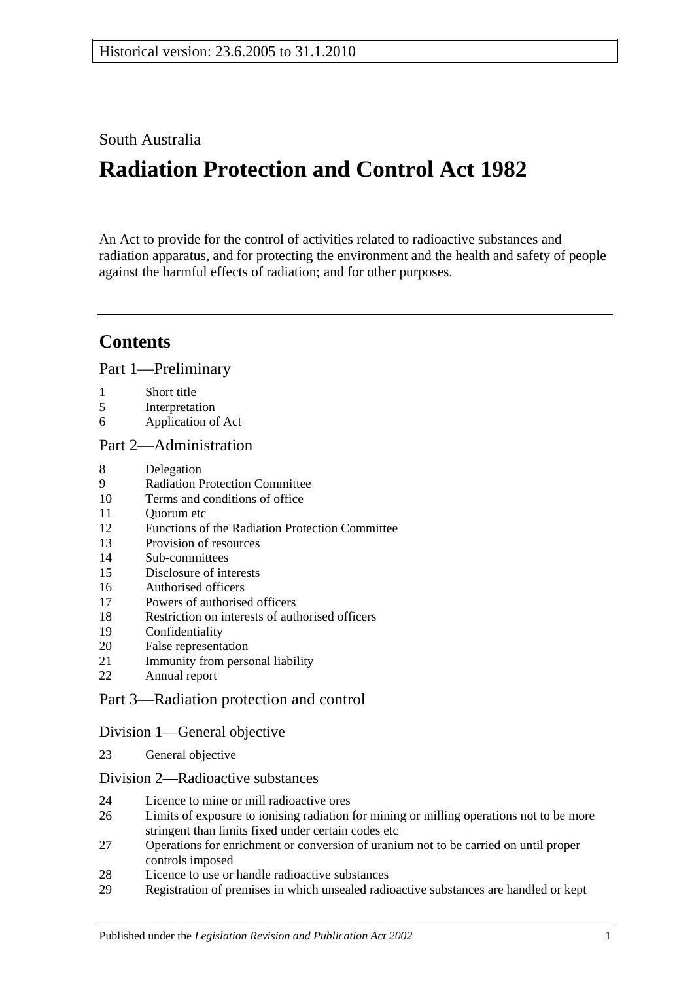### South Australia

# **Radiation Protection and Control Act 1982**

An Act to provide for the control of activities related to radioactive substances and radiation apparatus, and for protecting the environment and the health and safety of people against the harmful effects of radiation; and for other purposes.

## **Contents**

[Part 1—Preliminary](#page-1-0)

- [Short title](#page-1-1)
- [Interpretation](#page-1-2)
- [Application of Act](#page-3-0)

#### [Part 2—Administration](#page-3-1)

- [Delegation](#page-3-2)
- [Radiation Protection Committee](#page-4-0)
- [Terms and conditions of office](#page-4-1)
- [Quorum etc](#page-5-0)
- [Functions of the Radiation Protection Committee](#page-5-1)
- [Provision of resources](#page-5-2)
- [Sub-committees](#page-6-0)
- [Disclosure of interests](#page-7-0)
- [Authorised officers](#page-7-1)
- [Powers of authorised officers](#page-7-2)
- [Restriction on interests of authorised officers](#page-9-0)
- [Confidentiality](#page-9-1)
- [False representation](#page-9-2)
- [Immunity from personal liability](#page-9-3)
- [Annual report](#page-9-4)

### [Part 3—Radiation protection and control](#page-10-0)

### [Division 1—General objective](#page-10-1)

[General objective](#page-10-2)

#### [Division 2—Radioactive substances](#page-10-3)

- [Licence to mine or mill radioactive ores](#page-10-4)
- [Limits of exposure to ionising radiation for mining or milling operations not to be more](#page-11-0)  [stringent than limits fixed under certain codes etc](#page-11-0)
- [Operations for enrichment or conversion of uranium not to be carried on until proper](#page-11-1)  [controls imposed](#page-11-1)
- [Licence to use or handle radioactive substances](#page-11-2)
- [Registration of premises in which unsealed radioactive substances are handled or kept](#page-12-0)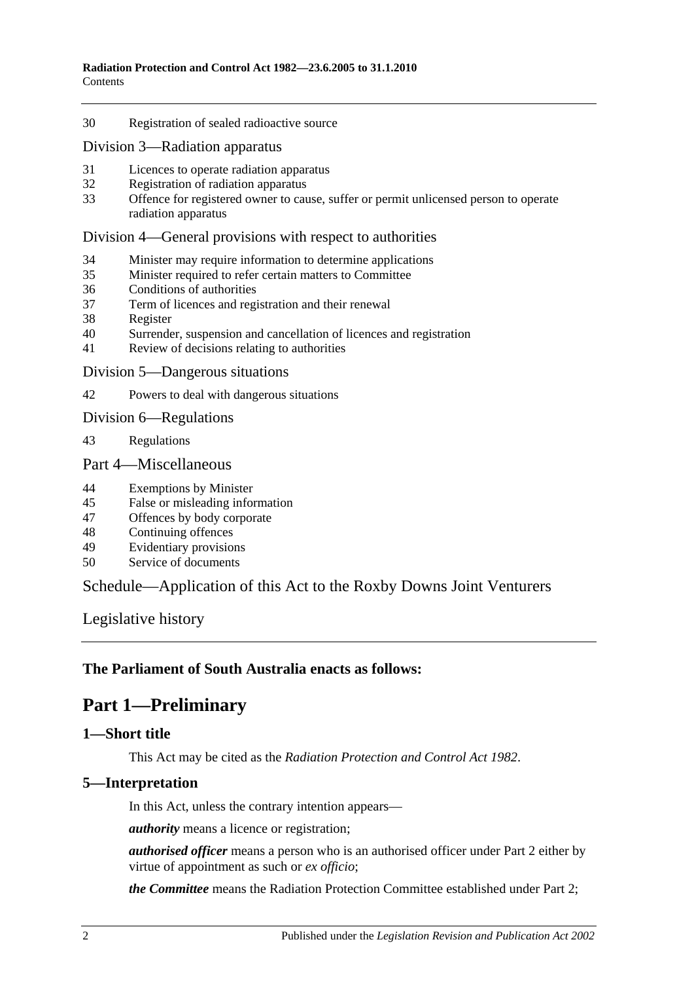#### 30 [Registration of sealed radioactive source](#page-12-1)

[Division 3—Radiation apparatus](#page-12-2)

- 31 [Licences to operate radiation apparatus](#page-12-3)
- 32 [Registration of radiation apparatus](#page-13-0)
- 33 [Offence for registered owner to cause, suffer or permit unlicensed person to operate](#page-14-0)  [radiation apparatus](#page-14-0)

#### [Division 4—General provisions with respect to authorities](#page-14-1)

- 34 [Minister may require information to determine applications](#page-14-2)
- 35 [Minister required to refer certain matters to Committee](#page-14-3)
- 36 [Conditions of authorities](#page-14-4)
- 37 [Term of licences and registration and their renewal](#page-15-0)
- 38 [Register](#page-15-1)
- 40 [Surrender, suspension and cancellation of licences and registration](#page-15-2)
- 41 [Review of decisions relating to authorities](#page-16-0)
- [Division 5—Dangerous situations](#page-17-0)

42 [Powers to deal with dangerous situations](#page-17-1)

[Division 6—Regulations](#page-18-0)

43 [Regulations](#page-18-1)

#### [Part 4—Miscellaneous](#page-19-0)

- 44 [Exemptions by Minister](#page-19-1)
- 45 [False or misleading information](#page-20-0)
- 47 [Offences by body corporate](#page-20-1)
- 48 [Continuing offences](#page-20-2)
- 49 [Evidentiary provisions](#page-21-0)
- 50 [Service of documents](#page-21-1)

### [Schedule—Application of this Act to the Roxby Downs Joint Venturers](#page-21-2)

[Legislative history](#page-24-0)

#### <span id="page-1-0"></span>**The Parliament of South Australia enacts as follows:**

### **Part 1—Preliminary**

#### <span id="page-1-1"></span>**1—Short title**

This Act may be cited as the *Radiation Protection and Control Act 1982*.

#### <span id="page-1-2"></span>**5—Interpretation**

In this Act, unless the contrary intention appears—

*authority* means a licence or registration;

*authorised officer* means a person who is an authorised officer under [Part](#page-3-1) 2 either by virtue of appointment as such or *ex officio*;

*the Committee* means the Radiation Protection Committee established under [Part 2;](#page-3-1)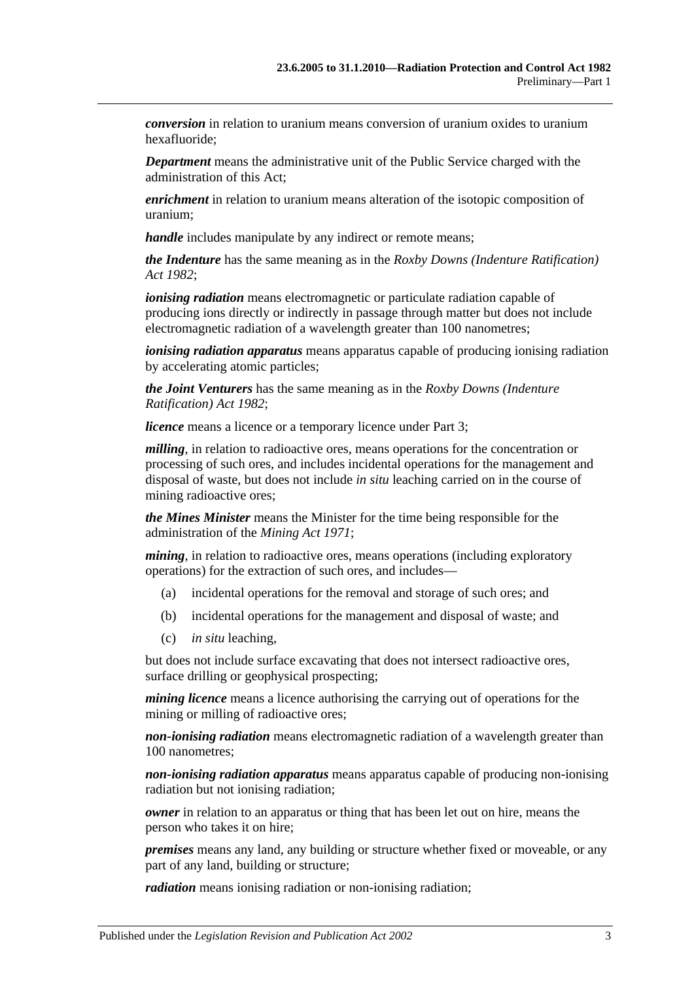*conversion* in relation to uranium means conversion of uranium oxides to uranium hexafluoride;

*Department* means the administrative unit of the Public Service charged with the administration of this Act;

*enrichment* in relation to uranium means alteration of the isotopic composition of uranium;

*handle* includes manipulate by any indirect or remote means;

*the Indenture* has the same meaning as in the *[Roxby Downs \(Indenture Ratification\)](http://www.legislation.sa.gov.au/index.aspx?action=legref&type=act&legtitle=Roxby%20Downs%20(Indenture%20Ratification)%20Act%201982)  Act [1982](http://www.legislation.sa.gov.au/index.aspx?action=legref&type=act&legtitle=Roxby%20Downs%20(Indenture%20Ratification)%20Act%201982)*;

*ionising radiation* means electromagnetic or particulate radiation capable of producing ions directly or indirectly in passage through matter but does not include electromagnetic radiation of a wavelength greater than 100 nanometres;

*ionising radiation apparatus* means apparatus capable of producing ionising radiation by accelerating atomic particles;

*the Joint Venturers* has the same meaning as in the *[Roxby Downs \(Indenture](http://www.legislation.sa.gov.au/index.aspx?action=legref&type=act&legtitle=Roxby%20Downs%20(Indenture%20Ratification)%20Act%201982)  [Ratification\) Act](http://www.legislation.sa.gov.au/index.aspx?action=legref&type=act&legtitle=Roxby%20Downs%20(Indenture%20Ratification)%20Act%201982) 1982*;

*licence* means a licence or a temporary licence under [Part 3;](#page-10-0)

*milling*, in relation to radioactive ores, means operations for the concentration or processing of such ores, and includes incidental operations for the management and disposal of waste, but does not include *in situ* leaching carried on in the course of mining radioactive ores;

*the Mines Minister* means the Minister for the time being responsible for the administration of the *[Mining Act](http://www.legislation.sa.gov.au/index.aspx?action=legref&type=act&legtitle=Mining%20Act%201971) 1971*;

*mining*, in relation to radioactive ores, means operations (including exploratory operations) for the extraction of such ores, and includes—

- (a) incidental operations for the removal and storage of such ores; and
- (b) incidental operations for the management and disposal of waste; and
- (c) *in situ* leaching,

but does not include surface excavating that does not intersect radioactive ores, surface drilling or geophysical prospecting;

*mining licence* means a licence authorising the carrying out of operations for the mining or milling of radioactive ores;

*non-ionising radiation* means electromagnetic radiation of a wavelength greater than 100 nanometres;

*non-ionising radiation apparatus* means apparatus capable of producing non-ionising radiation but not ionising radiation;

*owner* in relation to an apparatus or thing that has been let out on hire, means the person who takes it on hire;

*premises* means any land, any building or structure whether fixed or moveable, or any part of any land, building or structure;

*radiation* means ionising radiation or non-ionising radiation;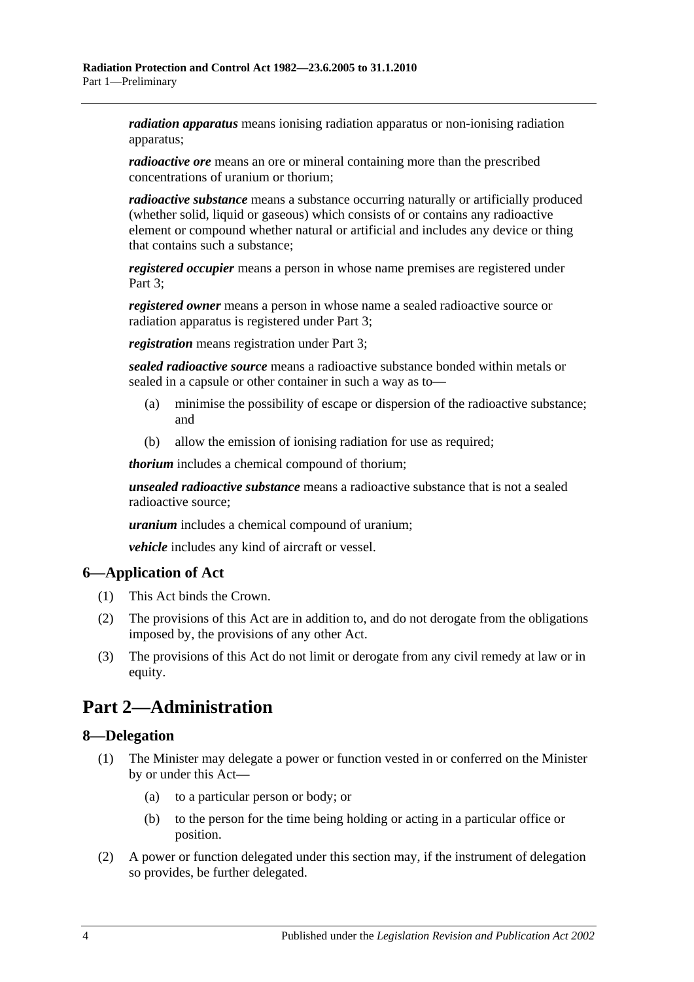*radiation apparatus* means ionising radiation apparatus or non-ionising radiation apparatus;

*radioactive ore* means an ore or mineral containing more than the prescribed concentrations of uranium or thorium;

*radioactive substance* means a substance occurring naturally or artificially produced (whether solid, liquid or gaseous) which consists of or contains any radioactive element or compound whether natural or artificial and includes any device or thing that contains such a substance;

*registered occupier* means a person in whose name premises are registered under [Part](#page-10-0) 3:

*registered owner* means a person in whose name a sealed radioactive source or radiation apparatus is registered under [Part 3;](#page-10-0)

*registration* means registration under [Part 3;](#page-10-0)

*sealed radioactive source* means a radioactive substance bonded within metals or sealed in a capsule or other container in such a way as to—

- (a) minimise the possibility of escape or dispersion of the radioactive substance; and
- (b) allow the emission of ionising radiation for use as required;

*thorium* includes a chemical compound of thorium;

*unsealed radioactive substance* means a radioactive substance that is not a sealed radioactive source;

*uranium* includes a chemical compound of uranium;

*vehicle* includes any kind of aircraft or vessel.

### <span id="page-3-0"></span>**6—Application of Act**

- (1) This Act binds the Crown.
- (2) The provisions of this Act are in addition to, and do not derogate from the obligations imposed by, the provisions of any other Act.
- (3) The provisions of this Act do not limit or derogate from any civil remedy at law or in equity.

## <span id="page-3-1"></span>**Part 2—Administration**

### <span id="page-3-2"></span>**8—Delegation**

- (1) The Minister may delegate a power or function vested in or conferred on the Minister by or under this Act—
	- (a) to a particular person or body; or
	- (b) to the person for the time being holding or acting in a particular office or position.
- (2) A power or function delegated under this section may, if the instrument of delegation so provides, be further delegated.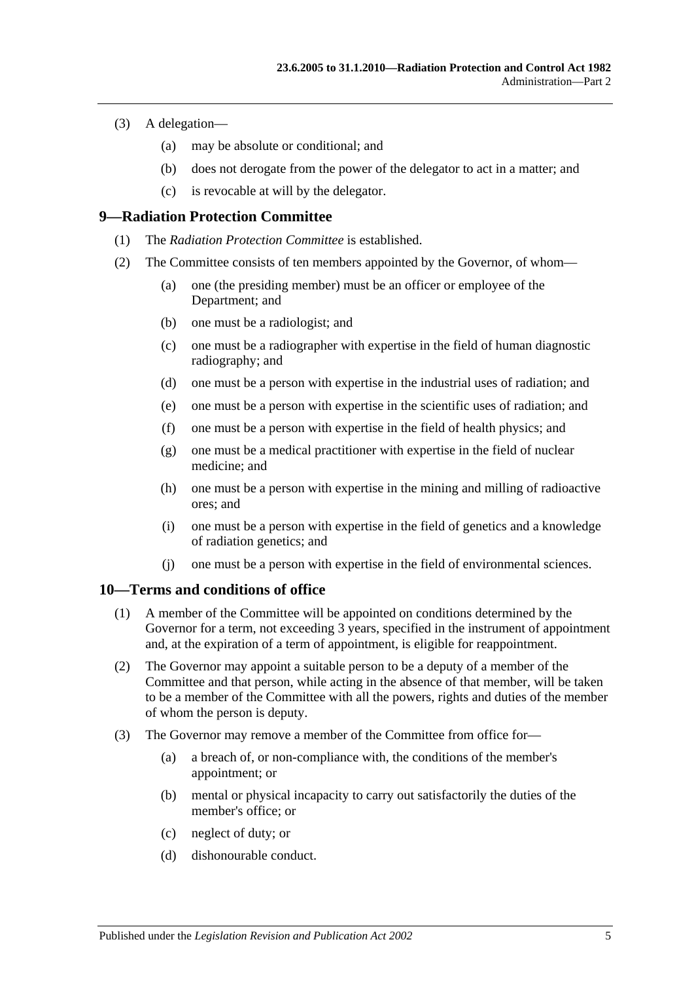- (3) A delegation—
	- (a) may be absolute or conditional; and
	- (b) does not derogate from the power of the delegator to act in a matter; and
	- (c) is revocable at will by the delegator.

### <span id="page-4-0"></span>**9—Radiation Protection Committee**

- (1) The *Radiation Protection Committee* is established.
- <span id="page-4-11"></span><span id="page-4-8"></span><span id="page-4-7"></span><span id="page-4-4"></span><span id="page-4-3"></span>(2) The Committee consists of ten members appointed by the Governor, of whom—
	- (a) one (the presiding member) must be an officer or employee of the Department; and
	- (b) one must be a radiologist; and
	- (c) one must be a radiographer with expertise in the field of human diagnostic radiography; and
	- (d) one must be a person with expertise in the industrial uses of radiation; and
	- (e) one must be a person with expertise in the scientific uses of radiation; and
	- (f) one must be a person with expertise in the field of health physics; and
	- (g) one must be a medical practitioner with expertise in the field of nuclear medicine; and
	- (h) one must be a person with expertise in the mining and milling of radioactive ores; and
	- (i) one must be a person with expertise in the field of genetics and a knowledge of radiation genetics; and
	- (j) one must be a person with expertise in the field of environmental sciences.

#### <span id="page-4-10"></span><span id="page-4-9"></span><span id="page-4-6"></span><span id="page-4-5"></span><span id="page-4-1"></span>**10—Terms and conditions of office**

- (1) A member of the Committee will be appointed on conditions determined by the Governor for a term, not exceeding 3 years, specified in the instrument of appointment and, at the expiration of a term of appointment, is eligible for reappointment.
- (2) The Governor may appoint a suitable person to be a deputy of a member of the Committee and that person, while acting in the absence of that member, will be taken to be a member of the Committee with all the powers, rights and duties of the member of whom the person is deputy.
- <span id="page-4-2"></span>(3) The Governor may remove a member of the Committee from office for—
	- (a) a breach of, or non-compliance with, the conditions of the member's appointment; or
	- (b) mental or physical incapacity to carry out satisfactorily the duties of the member's office; or
	- (c) neglect of duty; or
	- (d) dishonourable conduct.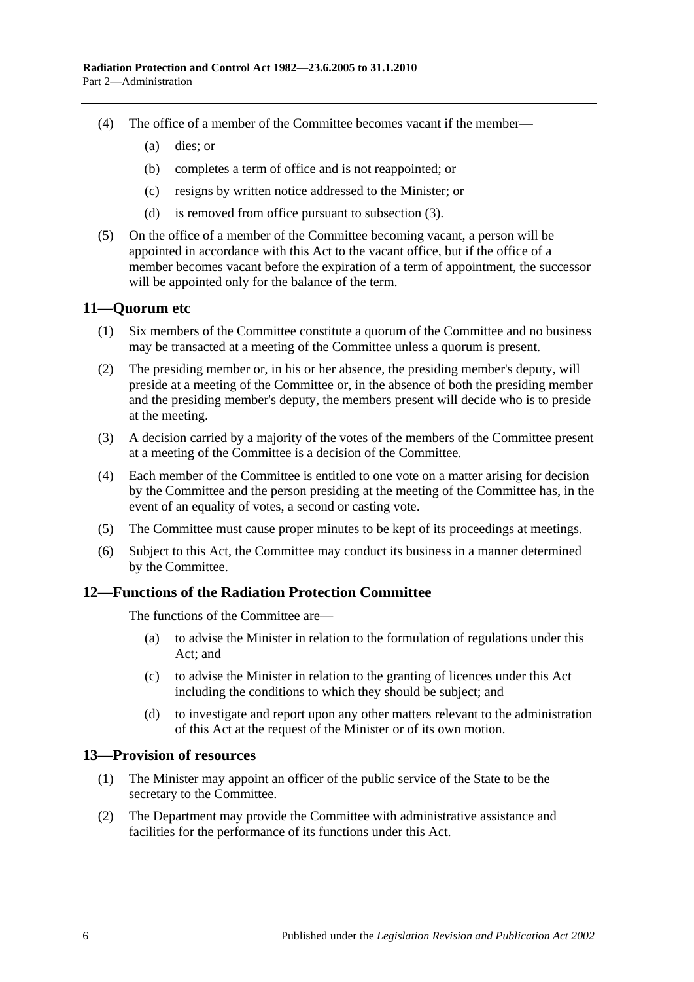- (4) The office of a member of the Committee becomes vacant if the member—
	- (a) dies; or
	- (b) completes a term of office and is not reappointed; or
	- (c) resigns by written notice addressed to the Minister; or
	- (d) is removed from office pursuant to [subsection](#page-4-2) (3).
- (5) On the office of a member of the Committee becoming vacant, a person will be appointed in accordance with this Act to the vacant office, but if the office of a member becomes vacant before the expiration of a term of appointment, the successor will be appointed only for the balance of the term.

### <span id="page-5-0"></span>**11—Quorum etc**

- (1) Six members of the Committee constitute a quorum of the Committee and no business may be transacted at a meeting of the Committee unless a quorum is present.
- (2) The presiding member or, in his or her absence, the presiding member's deputy, will preside at a meeting of the Committee or, in the absence of both the presiding member and the presiding member's deputy, the members present will decide who is to preside at the meeting.
- (3) A decision carried by a majority of the votes of the members of the Committee present at a meeting of the Committee is a decision of the Committee.
- (4) Each member of the Committee is entitled to one vote on a matter arising for decision by the Committee and the person presiding at the meeting of the Committee has, in the event of an equality of votes, a second or casting vote.
- (5) The Committee must cause proper minutes to be kept of its proceedings at meetings.
- (6) Subject to this Act, the Committee may conduct its business in a manner determined by the Committee.

#### <span id="page-5-1"></span>**12—Functions of the Radiation Protection Committee**

The functions of the Committee are—

- (a) to advise the Minister in relation to the formulation of regulations under this Act; and
- (c) to advise the Minister in relation to the granting of licences under this Act including the conditions to which they should be subject; and
- (d) to investigate and report upon any other matters relevant to the administration of this Act at the request of the Minister or of its own motion.

#### <span id="page-5-2"></span>**13—Provision of resources**

- (1) The Minister may appoint an officer of the public service of the State to be the secretary to the Committee.
- (2) The Department may provide the Committee with administrative assistance and facilities for the performance of its functions under this Act.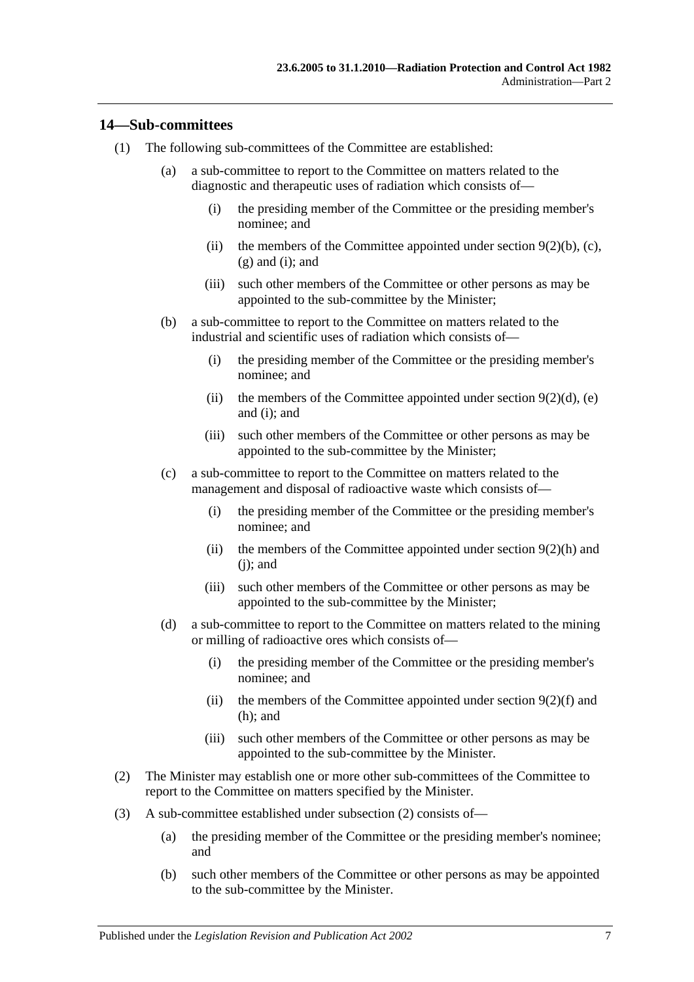#### <span id="page-6-0"></span>**14—Sub-committees**

- (1) The following sub-committees of the Committee are established:
	- (a) a sub-committee to report to the Committee on matters related to the diagnostic and therapeutic uses of radiation which consists of—
		- (i) the presiding member of the Committee or the presiding member's nominee; and
		- (ii) the members of the Committee appointed under section  $9(2)(b)$ , [\(c\),](#page-4-4)  $(g)$  and  $(i)$ ; and
		- (iii) such other members of the Committee or other persons as may be appointed to the sub-committee by the Minister;
	- (b) a sub-committee to report to the Committee on matters related to the industrial and scientific uses of radiation which consists of—
		- (i) the presiding member of the Committee or the presiding member's nominee; and
		- (ii) the members of the Committee appointed under section  $9(2)(d)$ , [\(e\)](#page-4-8) and [\(i\);](#page-4-6) and
		- (iii) such other members of the Committee or other persons as may be appointed to the sub-committee by the Minister;
	- (c) a sub-committee to report to the Committee on matters related to the management and disposal of radioactive waste which consists of—
		- (i) the presiding member of the Committee or the presiding member's nominee; and
		- (ii) the members of the Committee appointed under [section](#page-4-9)  $9(2)(h)$  and  $(i)$ ; and
		- (iii) such other members of the Committee or other persons as may be appointed to the sub-committee by the Minister;
	- (d) a sub-committee to report to the Committee on matters related to the mining or milling of radioactive ores which consists of—
		- (i) the presiding member of the Committee or the presiding member's nominee; and
		- (ii) the members of the Committee appointed under [section](#page-4-11)  $9(2)(f)$  and [\(h\);](#page-4-9) and
		- (iii) such other members of the Committee or other persons as may be appointed to the sub-committee by the Minister.
- <span id="page-6-1"></span>(2) The Minister may establish one or more other sub-committees of the Committee to report to the Committee on matters specified by the Minister.
- (3) A sub-committee established under [subsection](#page-6-1) (2) consists of—
	- (a) the presiding member of the Committee or the presiding member's nominee; and
	- (b) such other members of the Committee or other persons as may be appointed to the sub-committee by the Minister.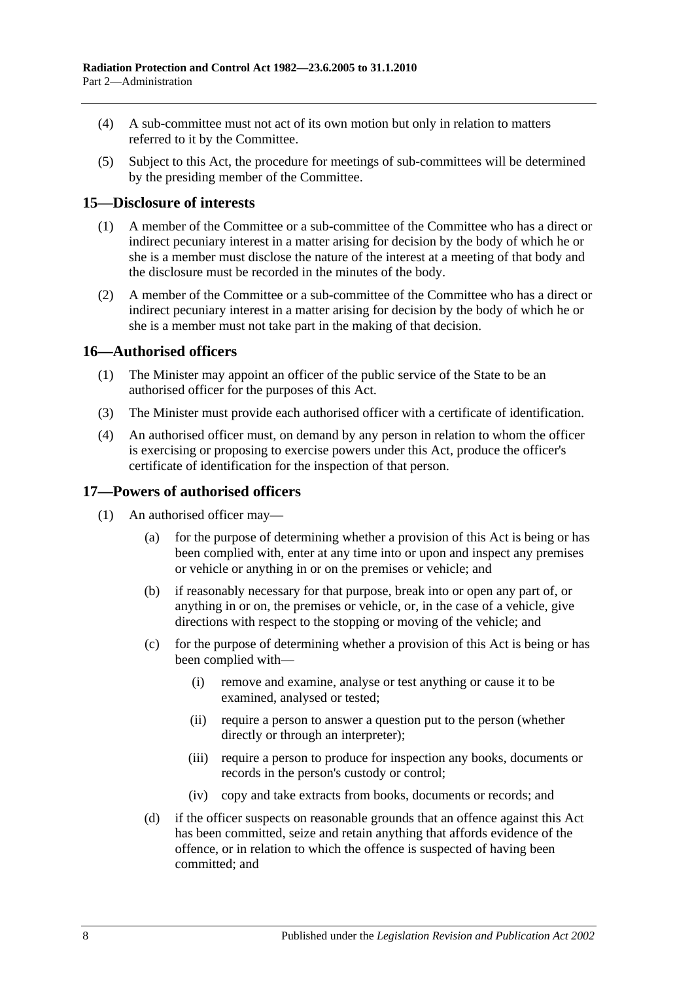- (4) A sub-committee must not act of its own motion but only in relation to matters referred to it by the Committee.
- (5) Subject to this Act, the procedure for meetings of sub-committees will be determined by the presiding member of the Committee.

### <span id="page-7-0"></span>**15—Disclosure of interests**

- (1) A member of the Committee or a sub-committee of the Committee who has a direct or indirect pecuniary interest in a matter arising for decision by the body of which he or she is a member must disclose the nature of the interest at a meeting of that body and the disclosure must be recorded in the minutes of the body.
- (2) A member of the Committee or a sub-committee of the Committee who has a direct or indirect pecuniary interest in a matter arising for decision by the body of which he or she is a member must not take part in the making of that decision.

### <span id="page-7-1"></span>**16—Authorised officers**

- (1) The Minister may appoint an officer of the public service of the State to be an authorised officer for the purposes of this Act.
- (3) The Minister must provide each authorised officer with a certificate of identification.
- (4) An authorised officer must, on demand by any person in relation to whom the officer is exercising or proposing to exercise powers under this Act, produce the officer's certificate of identification for the inspection of that person.

#### <span id="page-7-2"></span>**17—Powers of authorised officers**

- <span id="page-7-4"></span><span id="page-7-3"></span>(1) An authorised officer may—
	- (a) for the purpose of determining whether a provision of this Act is being or has been complied with, enter at any time into or upon and inspect any premises or vehicle or anything in or on the premises or vehicle; and
	- (b) if reasonably necessary for that purpose, break into or open any part of, or anything in or on, the premises or vehicle, or, in the case of a vehicle, give directions with respect to the stopping or moving of the vehicle; and
	- (c) for the purpose of determining whether a provision of this Act is being or has been complied with—
		- (i) remove and examine, analyse or test anything or cause it to be examined, analysed or tested;
		- (ii) require a person to answer a question put to the person (whether directly or through an interpreter);
		- (iii) require a person to produce for inspection any books, documents or records in the person's custody or control;
		- (iv) copy and take extracts from books, documents or records; and
	- (d) if the officer suspects on reasonable grounds that an offence against this Act has been committed, seize and retain anything that affords evidence of the offence, or in relation to which the offence is suspected of having been committed; and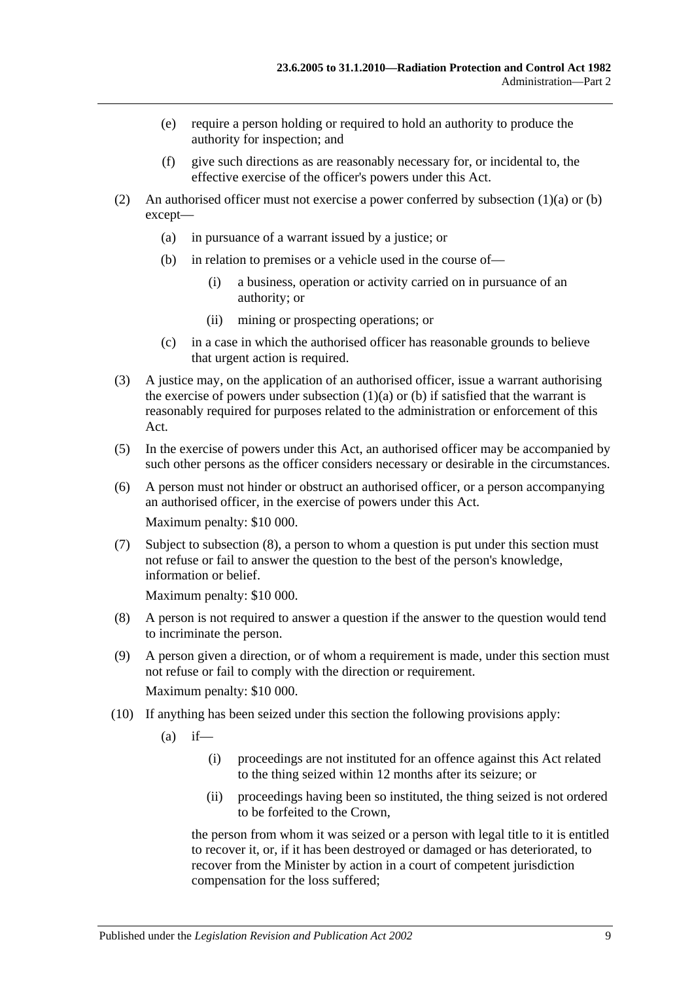- (e) require a person holding or required to hold an authority to produce the authority for inspection; and
- (f) give such directions as are reasonably necessary for, or incidental to, the effective exercise of the officer's powers under this Act.
- (2) An authorised officer must not exercise a power conferred by [subsection](#page-7-3)  $(1)(a)$  or [\(b\)](#page-7-4) except—
	- (a) in pursuance of a warrant issued by a justice; or
	- (b) in relation to premises or a vehicle used in the course of—
		- (i) a business, operation or activity carried on in pursuance of an authority; or
		- (ii) mining or prospecting operations; or
	- (c) in a case in which the authorised officer has reasonable grounds to believe that urgent action is required.
- (3) A justice may, on the application of an authorised officer, issue a warrant authorising the exercise of powers under [subsection](#page-7-3)  $(1)(a)$  or  $(b)$  if satisfied that the warrant is reasonably required for purposes related to the administration or enforcement of this Act.
- (5) In the exercise of powers under this Act, an authorised officer may be accompanied by such other persons as the officer considers necessary or desirable in the circumstances.
- (6) A person must not hinder or obstruct an authorised officer, or a person accompanying an authorised officer, in the exercise of powers under this Act. Maximum penalty: \$10 000.
- (7) Subject to [subsection](#page-8-0) (8), a person to whom a question is put under this section must not refuse or fail to answer the question to the best of the person's knowledge, information or belief.

Maximum penalty: \$10 000.

- <span id="page-8-0"></span>(8) A person is not required to answer a question if the answer to the question would tend to incriminate the person.
- (9) A person given a direction, or of whom a requirement is made, under this section must not refuse or fail to comply with the direction or requirement. Maximum penalty: \$10 000.
- (10) If anything has been seized under this section the following provisions apply:
	- $(a)$  if—
		- (i) proceedings are not instituted for an offence against this Act related to the thing seized within 12 months after its seizure; or
		- (ii) proceedings having been so instituted, the thing seized is not ordered to be forfeited to the Crown,

the person from whom it was seized or a person with legal title to it is entitled to recover it, or, if it has been destroyed or damaged or has deteriorated, to recover from the Minister by action in a court of competent jurisdiction compensation for the loss suffered;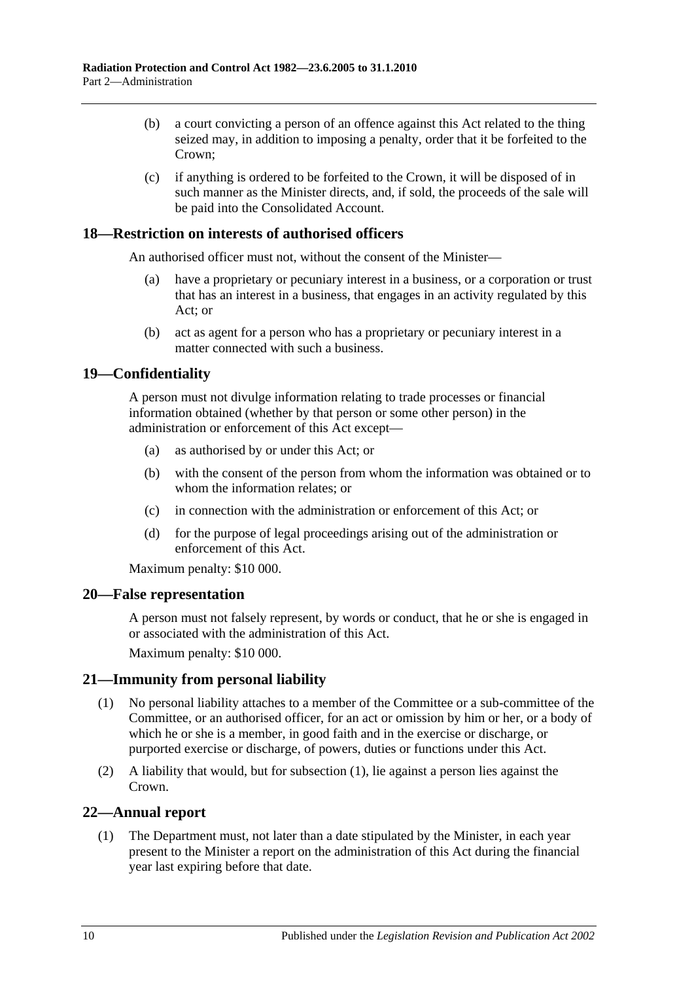- (b) a court convicting a person of an offence against this Act related to the thing seized may, in addition to imposing a penalty, order that it be forfeited to the Crown;
- (c) if anything is ordered to be forfeited to the Crown, it will be disposed of in such manner as the Minister directs, and, if sold, the proceeds of the sale will be paid into the Consolidated Account.

### <span id="page-9-0"></span>**18—Restriction on interests of authorised officers**

An authorised officer must not, without the consent of the Minister—

- (a) have a proprietary or pecuniary interest in a business, or a corporation or trust that has an interest in a business, that engages in an activity regulated by this Act; or
- (b) act as agent for a person who has a proprietary or pecuniary interest in a matter connected with such a business.

### <span id="page-9-1"></span>**19—Confidentiality**

A person must not divulge information relating to trade processes or financial information obtained (whether by that person or some other person) in the administration or enforcement of this Act except—

- (a) as authorised by or under this Act; or
- (b) with the consent of the person from whom the information was obtained or to whom the information relates; or
- (c) in connection with the administration or enforcement of this Act; or
- (d) for the purpose of legal proceedings arising out of the administration or enforcement of this Act.

Maximum penalty: \$10 000.

#### <span id="page-9-2"></span>**20—False representation**

A person must not falsely represent, by words or conduct, that he or she is engaged in or associated with the administration of this Act.

Maximum penalty: \$10 000.

### <span id="page-9-5"></span><span id="page-9-3"></span>**21—Immunity from personal liability**

- (1) No personal liability attaches to a member of the Committee or a sub-committee of the Committee, or an authorised officer, for an act or omission by him or her, or a body of which he or she is a member, in good faith and in the exercise or discharge, or purported exercise or discharge, of powers, duties or functions under this Act.
- (2) A liability that would, but for [subsection](#page-9-5) (1), lie against a person lies against the Crown.

### <span id="page-9-4"></span>**22—Annual report**

(1) The Department must, not later than a date stipulated by the Minister, in each year present to the Minister a report on the administration of this Act during the financial year last expiring before that date.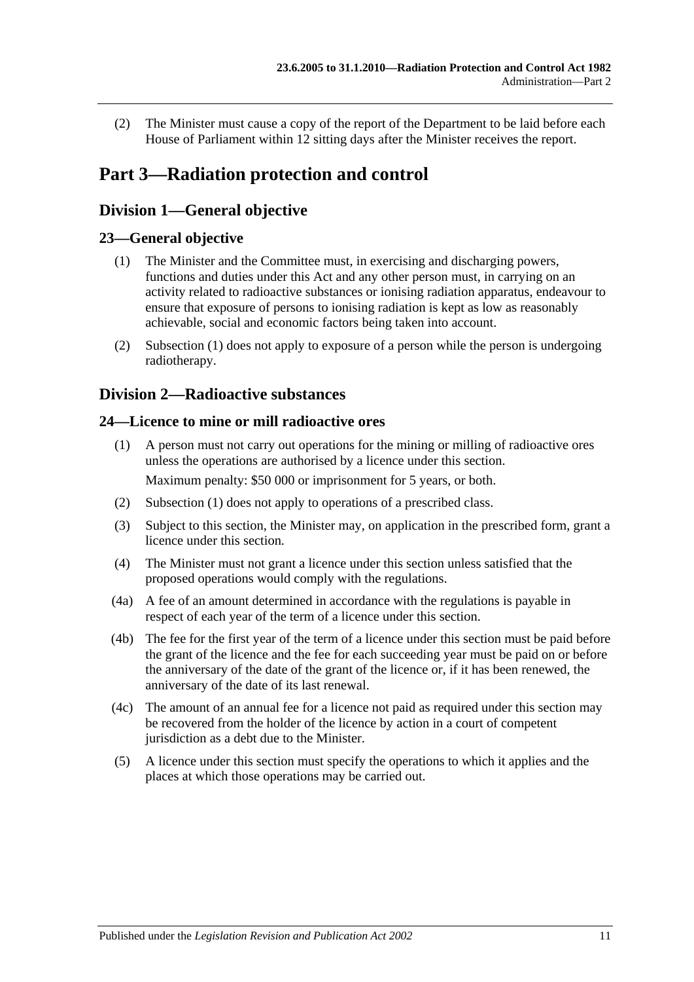(2) The Minister must cause a copy of the report of the Department to be laid before each House of Parliament within 12 sitting days after the Minister receives the report.

## <span id="page-10-0"></span>**Part 3—Radiation protection and control**

### <span id="page-10-1"></span>**Division 1—General objective**

### <span id="page-10-5"></span><span id="page-10-2"></span>**23—General objective**

- (1) The Minister and the Committee must, in exercising and discharging powers, functions and duties under this Act and any other person must, in carrying on an activity related to radioactive substances or ionising radiation apparatus, endeavour to ensure that exposure of persons to ionising radiation is kept as low as reasonably achievable, social and economic factors being taken into account.
- (2) [Subsection](#page-10-5) (1) does not apply to exposure of a person while the person is undergoing radiotherapy.

### <span id="page-10-3"></span>**Division 2—Radioactive substances**

### <span id="page-10-6"></span><span id="page-10-4"></span>**24—Licence to mine or mill radioactive ores**

- (1) A person must not carry out operations for the mining or milling of radioactive ores unless the operations are authorised by a licence under this section. Maximum penalty: \$50 000 or imprisonment for 5 years, or both.
- (2) [Subsection](#page-10-6) (1) does not apply to operations of a prescribed class.
- (3) Subject to this section, the Minister may, on application in the prescribed form, grant a licence under this section.
- <span id="page-10-7"></span>(4) The Minister must not grant a licence under this section unless satisfied that the proposed operations would comply with the regulations.
- (4a) A fee of an amount determined in accordance with the regulations is payable in respect of each year of the term of a licence under this section.
- (4b) The fee for the first year of the term of a licence under this section must be paid before the grant of the licence and the fee for each succeeding year must be paid on or before the anniversary of the date of the grant of the licence or, if it has been renewed, the anniversary of the date of its last renewal.
- (4c) The amount of an annual fee for a licence not paid as required under this section may be recovered from the holder of the licence by action in a court of competent jurisdiction as a debt due to the Minister.
- (5) A licence under this section must specify the operations to which it applies and the places at which those operations may be carried out.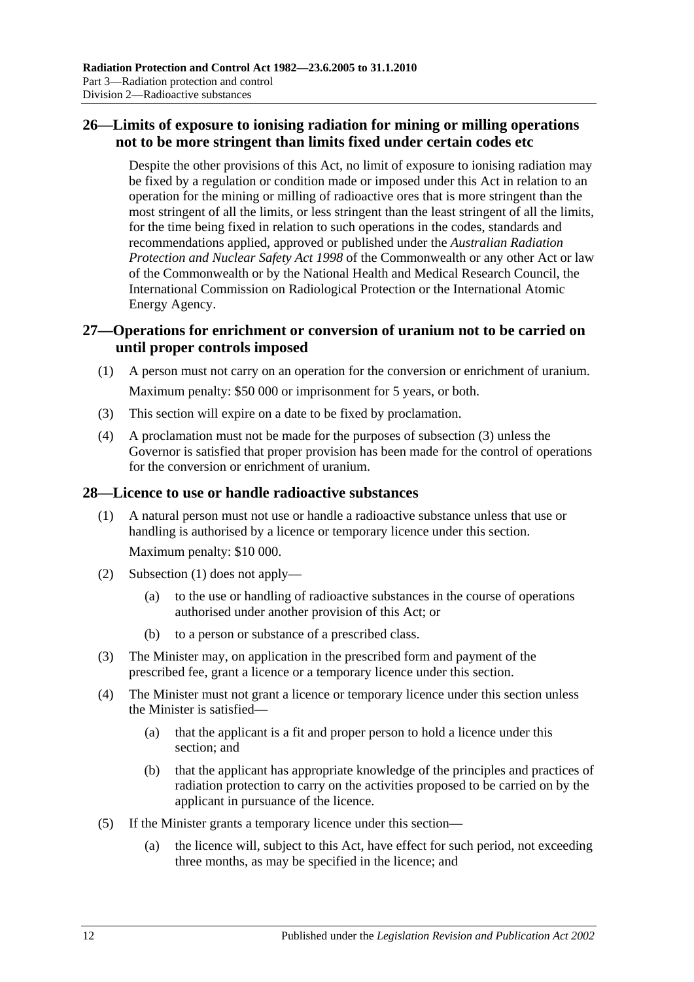### <span id="page-11-0"></span>**26—Limits of exposure to ionising radiation for mining or milling operations not to be more stringent than limits fixed under certain codes etc**

Despite the other provisions of this Act, no limit of exposure to ionising radiation may be fixed by a regulation or condition made or imposed under this Act in relation to an operation for the mining or milling of radioactive ores that is more stringent than the most stringent of all the limits, or less stringent than the least stringent of all the limits, for the time being fixed in relation to such operations in the codes, standards and recommendations applied, approved or published under the *Australian Radiation Protection and Nuclear Safety Act 1998* of the Commonwealth or any other Act or law of the Commonwealth or by the National Health and Medical Research Council, the International Commission on Radiological Protection or the International Atomic Energy Agency.

### <span id="page-11-1"></span>**27—Operations for enrichment or conversion of uranium not to be carried on until proper controls imposed**

- (1) A person must not carry on an operation for the conversion or enrichment of uranium. Maximum penalty: \$50 000 or imprisonment for 5 years, or both.
- <span id="page-11-3"></span>(3) This section will expire on a date to be fixed by proclamation.
- (4) A proclamation must not be made for the purposes of [subsection](#page-11-3) (3) unless the Governor is satisfied that proper provision has been made for the control of operations for the conversion or enrichment of uranium.

### <span id="page-11-4"></span><span id="page-11-2"></span>**28—Licence to use or handle radioactive substances**

- (1) A natural person must not use or handle a radioactive substance unless that use or handling is authorised by a licence or temporary licence under this section. Maximum penalty: \$10 000.
- (2) [Subsection](#page-11-4) (1) does not apply—
	- (a) to the use or handling of radioactive substances in the course of operations authorised under another provision of this Act; or
	- (b) to a person or substance of a prescribed class.
- (3) The Minister may, on application in the prescribed form and payment of the prescribed fee, grant a licence or a temporary licence under this section.
- (4) The Minister must not grant a licence or temporary licence under this section unless the Minister is satisfied—
	- (a) that the applicant is a fit and proper person to hold a licence under this section; and
	- (b) that the applicant has appropriate knowledge of the principles and practices of radiation protection to carry on the activities proposed to be carried on by the applicant in pursuance of the licence.
- (5) If the Minister grants a temporary licence under this section—
	- (a) the licence will, subject to this Act, have effect for such period, not exceeding three months, as may be specified in the licence; and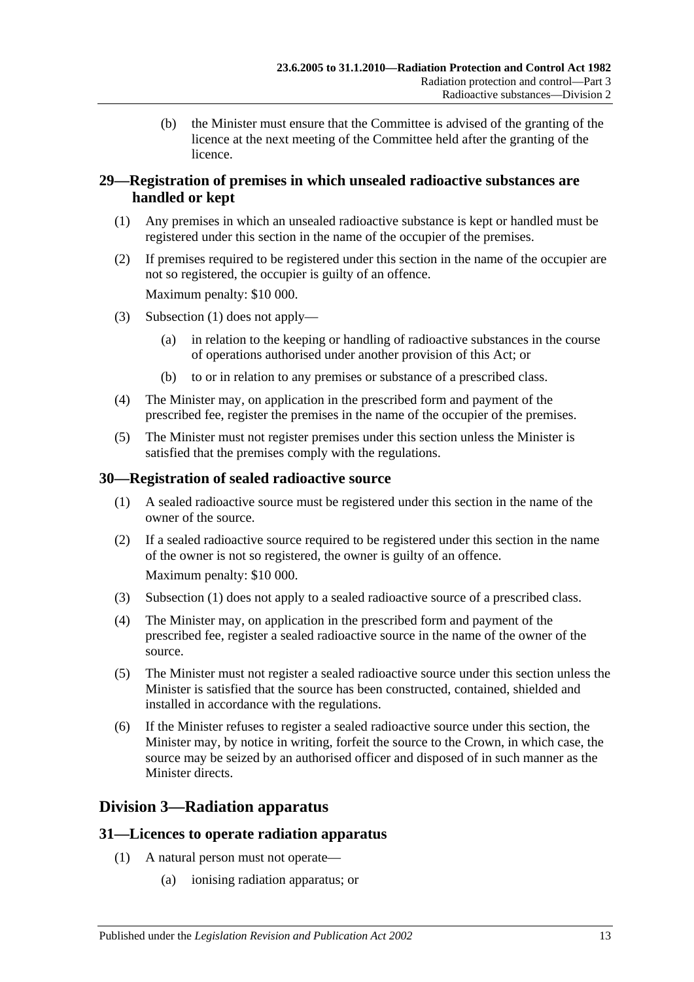(b) the Minister must ensure that the Committee is advised of the granting of the licence at the next meeting of the Committee held after the granting of the licence.

### <span id="page-12-0"></span>**29—Registration of premises in which unsealed radioactive substances are handled or kept**

- <span id="page-12-4"></span>(1) Any premises in which an unsealed radioactive substance is kept or handled must be registered under this section in the name of the occupier of the premises.
- (2) If premises required to be registered under this section in the name of the occupier are not so registered, the occupier is guilty of an offence.

Maximum penalty: \$10 000.

- (3) [Subsection](#page-12-4) (1) does not apply—
	- (a) in relation to the keeping or handling of radioactive substances in the course of operations authorised under another provision of this Act; or
	- (b) to or in relation to any premises or substance of a prescribed class.
- (4) The Minister may, on application in the prescribed form and payment of the prescribed fee, register the premises in the name of the occupier of the premises.
- (5) The Minister must not register premises under this section unless the Minister is satisfied that the premises comply with the regulations.

### <span id="page-12-5"></span><span id="page-12-1"></span>**30—Registration of sealed radioactive source**

- (1) A sealed radioactive source must be registered under this section in the name of the owner of the source.
- (2) If a sealed radioactive source required to be registered under this section in the name of the owner is not so registered, the owner is guilty of an offence. Maximum penalty: \$10 000.
- (3) [Subsection](#page-12-5) (1) does not apply to a sealed radioactive source of a prescribed class.
- (4) The Minister may, on application in the prescribed form and payment of the prescribed fee, register a sealed radioactive source in the name of the owner of the source.
- (5) The Minister must not register a sealed radioactive source under this section unless the Minister is satisfied that the source has been constructed, contained, shielded and installed in accordance with the regulations.
- (6) If the Minister refuses to register a sealed radioactive source under this section, the Minister may, by notice in writing, forfeit the source to the Crown, in which case, the source may be seized by an authorised officer and disposed of in such manner as the Minister directs.

### <span id="page-12-2"></span>**Division 3—Radiation apparatus**

### <span id="page-12-3"></span>**31—Licences to operate radiation apparatus**

- <span id="page-12-6"></span>(1) A natural person must not operate—
	- (a) ionising radiation apparatus; or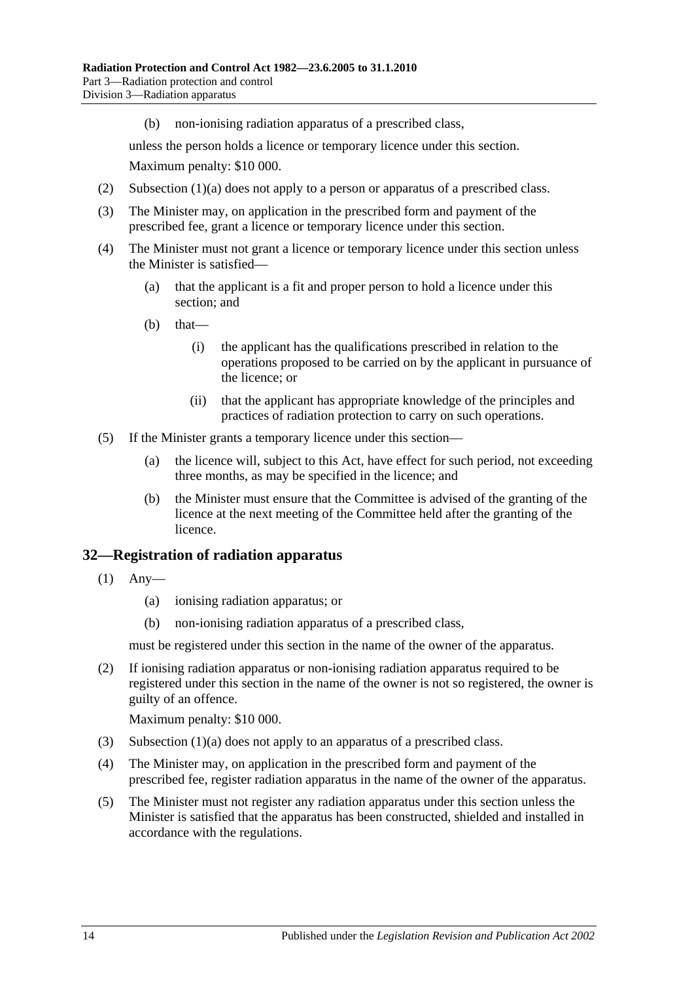(b) non-ionising radiation apparatus of a prescribed class,

unless the person holds a licence or temporary licence under this section. Maximum penalty: \$10 000.

- (2) [Subsection](#page-12-6) (1)(a) does not apply to a person or apparatus of a prescribed class.
- (3) The Minister may, on application in the prescribed form and payment of the prescribed fee, grant a licence or temporary licence under this section.
- (4) The Minister must not grant a licence or temporary licence under this section unless the Minister is satisfied—
	- (a) that the applicant is a fit and proper person to hold a licence under this section; and
	- $(b)$  that—
		- (i) the applicant has the qualifications prescribed in relation to the operations proposed to be carried on by the applicant in pursuance of the licence; or
		- (ii) that the applicant has appropriate knowledge of the principles and practices of radiation protection to carry on such operations.
- (5) If the Minister grants a temporary licence under this section—
	- (a) the licence will, subject to this Act, have effect for such period, not exceeding three months, as may be specified in the licence; and
	- (b) the Minister must ensure that the Committee is advised of the granting of the licence at the next meeting of the Committee held after the granting of the licence.

#### <span id="page-13-0"></span>**32—Registration of radiation apparatus**

- <span id="page-13-1"></span>(1) Any—
	- (a) ionising radiation apparatus; or
	- (b) non-ionising radiation apparatus of a prescribed class,

must be registered under this section in the name of the owner of the apparatus.

(2) If ionising radiation apparatus or non-ionising radiation apparatus required to be registered under this section in the name of the owner is not so registered, the owner is guilty of an offence.

Maximum penalty: \$10 000.

- (3) [Subsection](#page-13-1) (1)(a) does not apply to an apparatus of a prescribed class.
- (4) The Minister may, on application in the prescribed form and payment of the prescribed fee, register radiation apparatus in the name of the owner of the apparatus.
- (5) The Minister must not register any radiation apparatus under this section unless the Minister is satisfied that the apparatus has been constructed, shielded and installed in accordance with the regulations.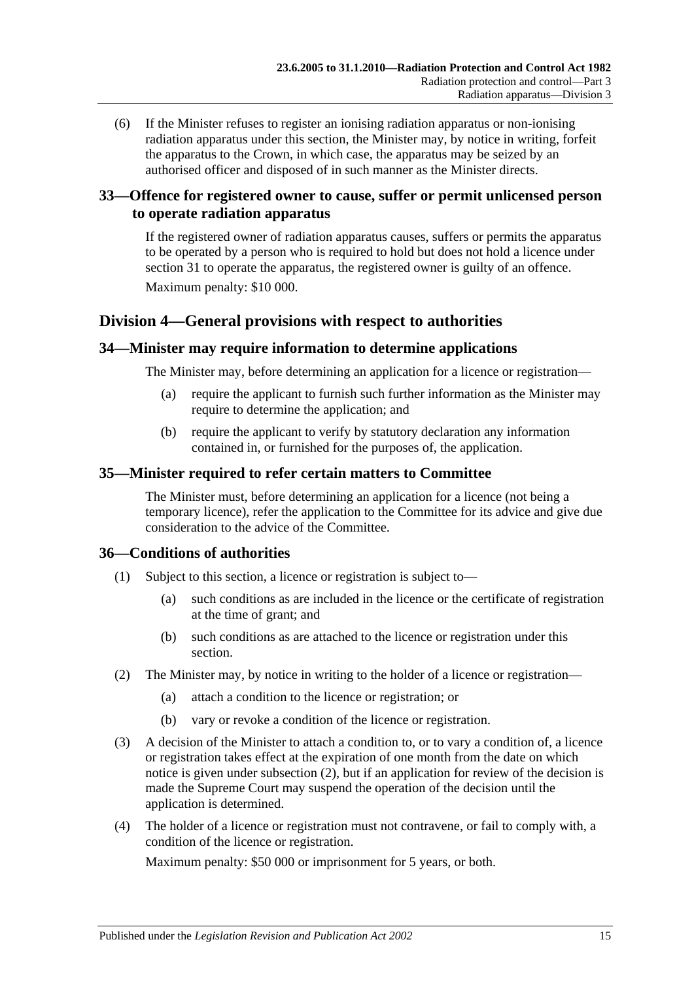(6) If the Minister refuses to register an ionising radiation apparatus or non-ionising radiation apparatus under this section, the Minister may, by notice in writing, forfeit the apparatus to the Crown, in which case, the apparatus may be seized by an authorised officer and disposed of in such manner as the Minister directs.

### <span id="page-14-0"></span>**33—Offence for registered owner to cause, suffer or permit unlicensed person to operate radiation apparatus**

If the registered owner of radiation apparatus causes, suffers or permits the apparatus to be operated by a person who is required to hold but does not hold a licence under [section](#page-12-3) 31 to operate the apparatus, the registered owner is guilty of an offence. Maximum penalty: \$10 000.

### <span id="page-14-1"></span>**Division 4—General provisions with respect to authorities**

### <span id="page-14-2"></span>**34—Minister may require information to determine applications**

The Minister may, before determining an application for a licence or registration—

- (a) require the applicant to furnish such further information as the Minister may require to determine the application; and
- (b) require the applicant to verify by statutory declaration any information contained in, or furnished for the purposes of, the application.

### <span id="page-14-3"></span>**35—Minister required to refer certain matters to Committee**

The Minister must, before determining an application for a licence (not being a temporary licence), refer the application to the Committee for its advice and give due consideration to the advice of the Committee.

### <span id="page-14-4"></span>**36—Conditions of authorities**

- (1) Subject to this section, a licence or registration is subject to—
	- (a) such conditions as are included in the licence or the certificate of registration at the time of grant; and
	- (b) such conditions as are attached to the licence or registration under this section.
- <span id="page-14-6"></span><span id="page-14-5"></span>(2) The Minister may, by notice in writing to the holder of a licence or registration—
	- (a) attach a condition to the licence or registration; or
	- (b) vary or revoke a condition of the licence or registration.
- <span id="page-14-7"></span>(3) A decision of the Minister to attach a condition to, or to vary a condition of, a licence or registration takes effect at the expiration of one month from the date on which notice is given under [subsection](#page-14-5) (2), but if an application for review of the decision is made the Supreme Court may suspend the operation of the decision until the application is determined.
- (4) The holder of a licence or registration must not contravene, or fail to comply with, a condition of the licence or registration.

Maximum penalty: \$50 000 or imprisonment for 5 years, or both.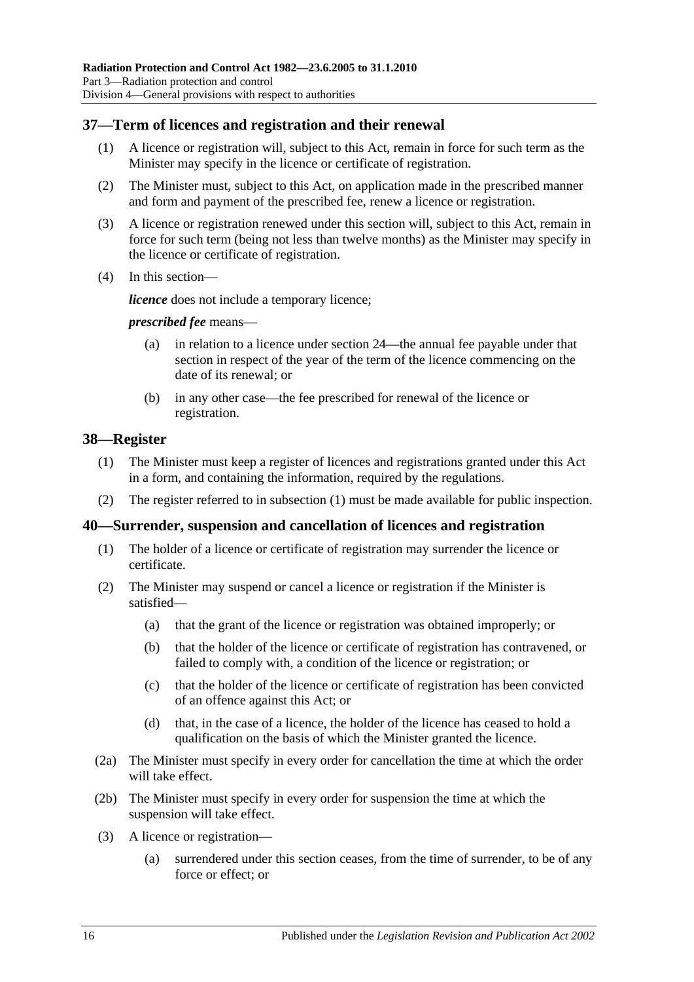### <span id="page-15-0"></span>**37—Term of licences and registration and their renewal**

- (1) A licence or registration will, subject to this Act, remain in force for such term as the Minister may specify in the licence or certificate of registration.
- (2) The Minister must, subject to this Act, on application made in the prescribed manner and form and payment of the prescribed fee, renew a licence or registration.
- (3) A licence or registration renewed under this section will, subject to this Act, remain in force for such term (being not less than twelve months) as the Minister may specify in the licence or certificate of registration.
- (4) In this section—

*licence* does not include a temporary licence;

#### *prescribed fee* means—

- (a) in relation to a licence under [section](#page-10-4) 24—the annual fee payable under that section in respect of the year of the term of the licence commencing on the date of its renewal; or
- (b) in any other case—the fee prescribed for renewal of the licence or registration.

### <span id="page-15-3"></span><span id="page-15-1"></span>**38—Register**

- (1) The Minister must keep a register of licences and registrations granted under this Act in a form, and containing the information, required by the regulations.
- (2) The register referred to in [subsection](#page-15-3) (1) must be made available for public inspection.

#### <span id="page-15-2"></span>**40—Surrender, suspension and cancellation of licences and registration**

- (1) The holder of a licence or certificate of registration may surrender the licence or certificate.
- (2) The Minister may suspend or cancel a licence or registration if the Minister is satisfied—
	- (a) that the grant of the licence or registration was obtained improperly; or
	- (b) that the holder of the licence or certificate of registration has contravened, or failed to comply with, a condition of the licence or registration; or
	- (c) that the holder of the licence or certificate of registration has been convicted of an offence against this Act; or
	- (d) that, in the case of a licence, the holder of the licence has ceased to hold a qualification on the basis of which the Minister granted the licence.
- (2a) The Minister must specify in every order for cancellation the time at which the order will take effect.
- (2b) The Minister must specify in every order for suspension the time at which the suspension will take effect.
- (3) A licence or registration—
	- (a) surrendered under this section ceases, from the time of surrender, to be of any force or effect; or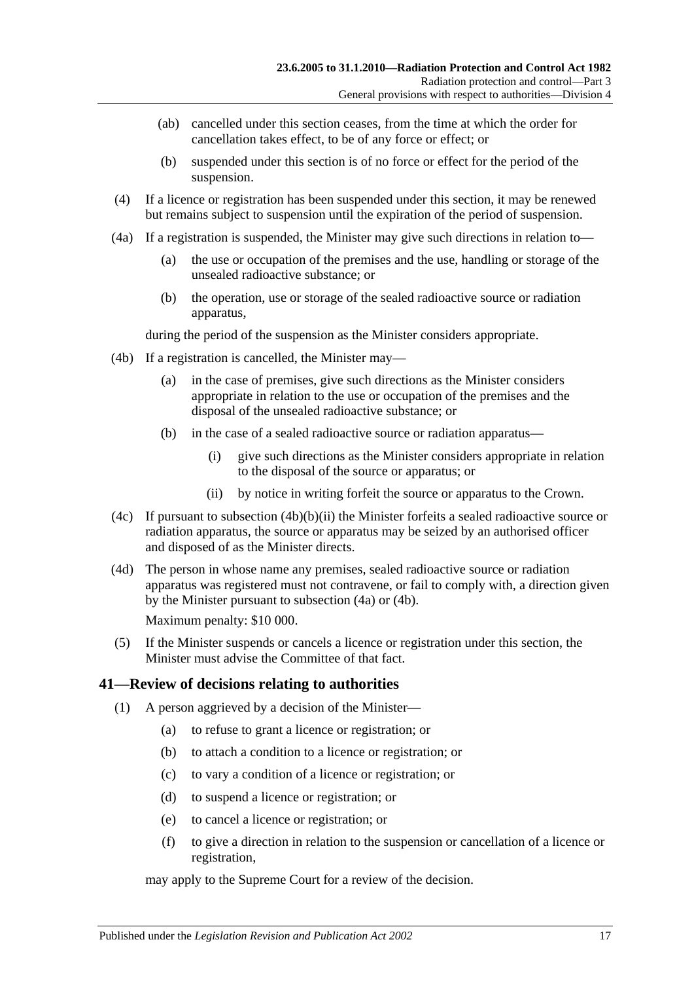- (ab) cancelled under this section ceases, from the time at which the order for cancellation takes effect, to be of any force or effect; or
- (b) suspended under this section is of no force or effect for the period of the suspension.
- (4) If a licence or registration has been suspended under this section, it may be renewed but remains subject to suspension until the expiration of the period of suspension.
- <span id="page-16-2"></span>(4a) If a registration is suspended, the Minister may give such directions in relation to—
	- (a) the use or occupation of the premises and the use, handling or storage of the unsealed radioactive substance; or
	- (b) the operation, use or storage of the sealed radioactive source or radiation apparatus,

during the period of the suspension as the Minister considers appropriate.

- <span id="page-16-3"></span>(4b) If a registration is cancelled, the Minister may—
	- (a) in the case of premises, give such directions as the Minister considers appropriate in relation to the use or occupation of the premises and the disposal of the unsealed radioactive substance; or
	- (b) in the case of a sealed radioactive source or radiation apparatus—
		- (i) give such directions as the Minister considers appropriate in relation to the disposal of the source or apparatus; or
		- (ii) by notice in writing forfeit the source or apparatus to the Crown.
- <span id="page-16-1"></span>(4c) If pursuant to [subsection](#page-16-1)  $(4b)(b)(ii)$  the Minister forfeits a sealed radioactive source or radiation apparatus, the source or apparatus may be seized by an authorised officer and disposed of as the Minister directs.
- (4d) The person in whose name any premises, sealed radioactive source or radiation apparatus was registered must not contravene, or fail to comply with, a direction given by the Minister pursuant to [subsection](#page-16-2) (4a) or [\(4b\).](#page-16-3)

Maximum penalty: \$10 000.

(5) If the Minister suspends or cancels a licence or registration under this section, the Minister must advise the Committee of that fact.

### <span id="page-16-4"></span><span id="page-16-0"></span>**41—Review of decisions relating to authorities**

- (1) A person aggrieved by a decision of the Minister—
	- (a) to refuse to grant a licence or registration; or
	- (b) to attach a condition to a licence or registration; or
	- (c) to vary a condition of a licence or registration; or
	- (d) to suspend a licence or registration; or
	- (e) to cancel a licence or registration; or
	- (f) to give a direction in relation to the suspension or cancellation of a licence or registration,

may apply to the Supreme Court for a review of the decision.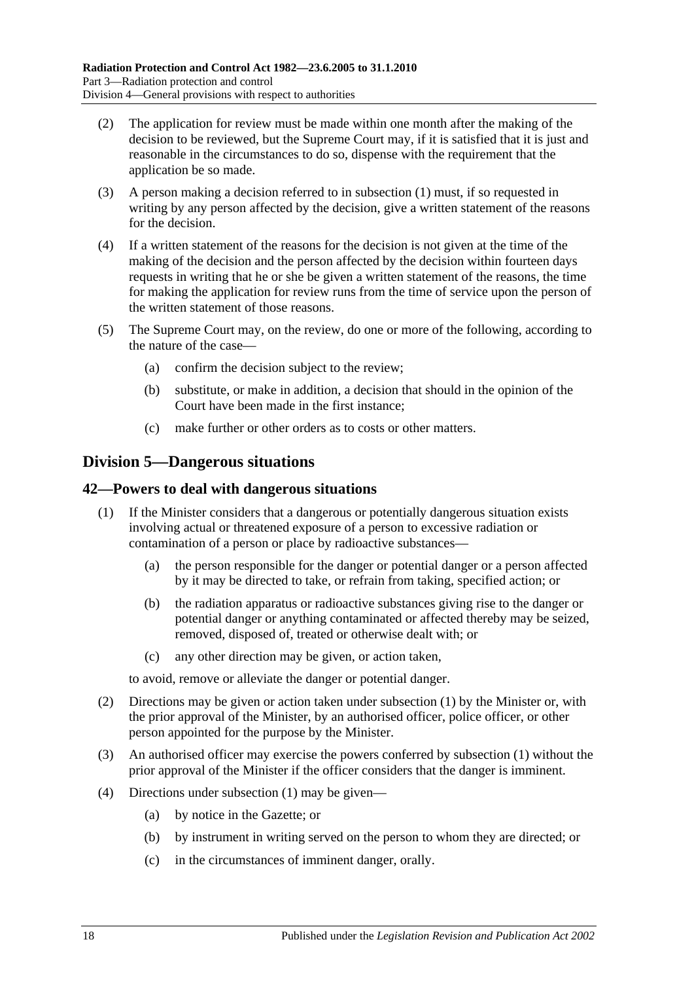- (2) The application for review must be made within one month after the making of the decision to be reviewed, but the Supreme Court may, if it is satisfied that it is just and reasonable in the circumstances to do so, dispense with the requirement that the application be so made.
- (3) A person making a decision referred to in [subsection](#page-16-4) (1) must, if so requested in writing by any person affected by the decision, give a written statement of the reasons for the decision.
- (4) If a written statement of the reasons for the decision is not given at the time of the making of the decision and the person affected by the decision within fourteen days requests in writing that he or she be given a written statement of the reasons, the time for making the application for review runs from the time of service upon the person of the written statement of those reasons.
- (5) The Supreme Court may, on the review, do one or more of the following, according to the nature of the case—
	- (a) confirm the decision subject to the review;
	- (b) substitute, or make in addition, a decision that should in the opinion of the Court have been made in the first instance;
	- (c) make further or other orders as to costs or other matters.

### <span id="page-17-0"></span>**Division 5—Dangerous situations**

### <span id="page-17-2"></span><span id="page-17-1"></span>**42—Powers to deal with dangerous situations**

- (1) If the Minister considers that a dangerous or potentially dangerous situation exists involving actual or threatened exposure of a person to excessive radiation or contamination of a person or place by radioactive substances—
	- (a) the person responsible for the danger or potential danger or a person affected by it may be directed to take, or refrain from taking, specified action; or
	- (b) the radiation apparatus or radioactive substances giving rise to the danger or potential danger or anything contaminated or affected thereby may be seized, removed, disposed of, treated or otherwise dealt with; or
	- (c) any other direction may be given, or action taken,

to avoid, remove or alleviate the danger or potential danger.

- (2) Directions may be given or action taken under [subsection](#page-17-2) (1) by the Minister or, with the prior approval of the Minister, by an authorised officer, police officer, or other person appointed for the purpose by the Minister.
- (3) An authorised officer may exercise the powers conferred by [subsection](#page-17-2) (1) without the prior approval of the Minister if the officer considers that the danger is imminent.
- (4) Directions under [subsection](#page-17-2) (1) may be given—
	- (a) by notice in the Gazette; or
	- (b) by instrument in writing served on the person to whom they are directed; or
	- (c) in the circumstances of imminent danger, orally.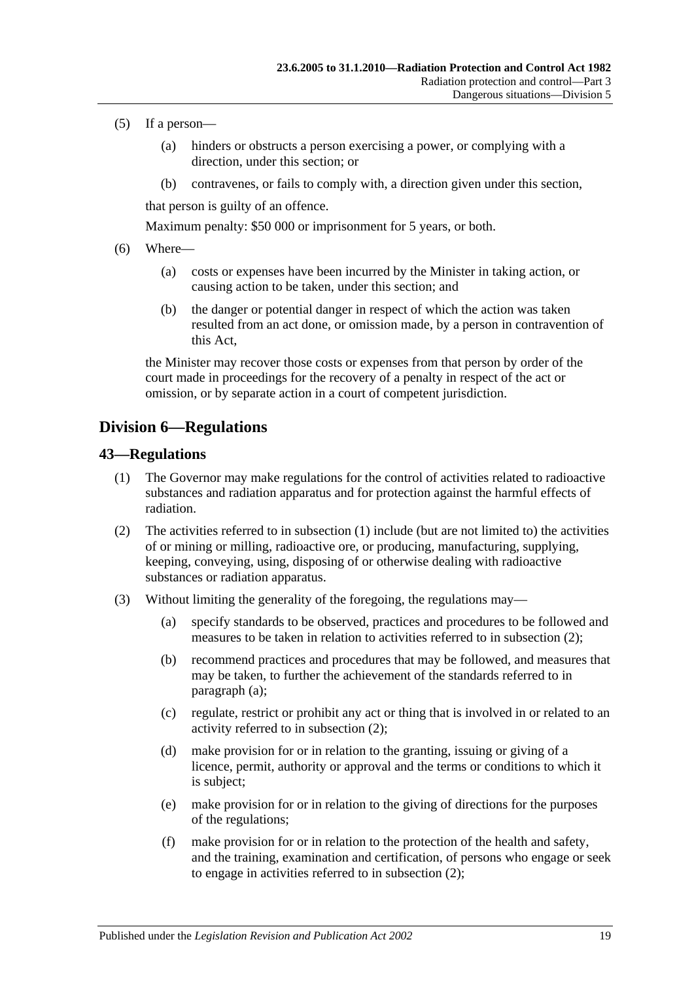- (5) If a person—
	- (a) hinders or obstructs a person exercising a power, or complying with a direction, under this section; or
	- (b) contravenes, or fails to comply with, a direction given under this section,

that person is guilty of an offence.

Maximum penalty: \$50 000 or imprisonment for 5 years, or both.

- (6) Where—
	- (a) costs or expenses have been incurred by the Minister in taking action, or causing action to be taken, under this section; and
	- (b) the danger or potential danger in respect of which the action was taken resulted from an act done, or omission made, by a person in contravention of this Act,

the Minister may recover those costs or expenses from that person by order of the court made in proceedings for the recovery of a penalty in respect of the act or omission, or by separate action in a court of competent jurisdiction.

### <span id="page-18-0"></span>**Division 6—Regulations**

#### <span id="page-18-2"></span><span id="page-18-1"></span>**43—Regulations**

- (1) The Governor may make regulations for the control of activities related to radioactive substances and radiation apparatus and for protection against the harmful effects of radiation.
- <span id="page-18-3"></span>(2) The activities referred to in [subsection](#page-18-2) (1) include (but are not limited to) the activities of or mining or milling, radioactive ore, or producing, manufacturing, supplying, keeping, conveying, using, disposing of or otherwise dealing with radioactive substances or radiation apparatus.
- <span id="page-18-4"></span>(3) Without limiting the generality of the foregoing, the regulations may—
	- (a) specify standards to be observed, practices and procedures to be followed and measures to be taken in relation to activities referred to in [subsection](#page-18-3) (2);
	- (b) recommend practices and procedures that may be followed, and measures that may be taken, to further the achievement of the standards referred to in [paragraph](#page-18-4) (a);
	- (c) regulate, restrict or prohibit any act or thing that is involved in or related to an activity referred to in [subsection](#page-18-3) (2);
	- (d) make provision for or in relation to the granting, issuing or giving of a licence, permit, authority or approval and the terms or conditions to which it is subject;
	- (e) make provision for or in relation to the giving of directions for the purposes of the regulations;
	- (f) make provision for or in relation to the protection of the health and safety, and the training, examination and certification, of persons who engage or seek to engage in activities referred to in [subsection](#page-18-3) (2);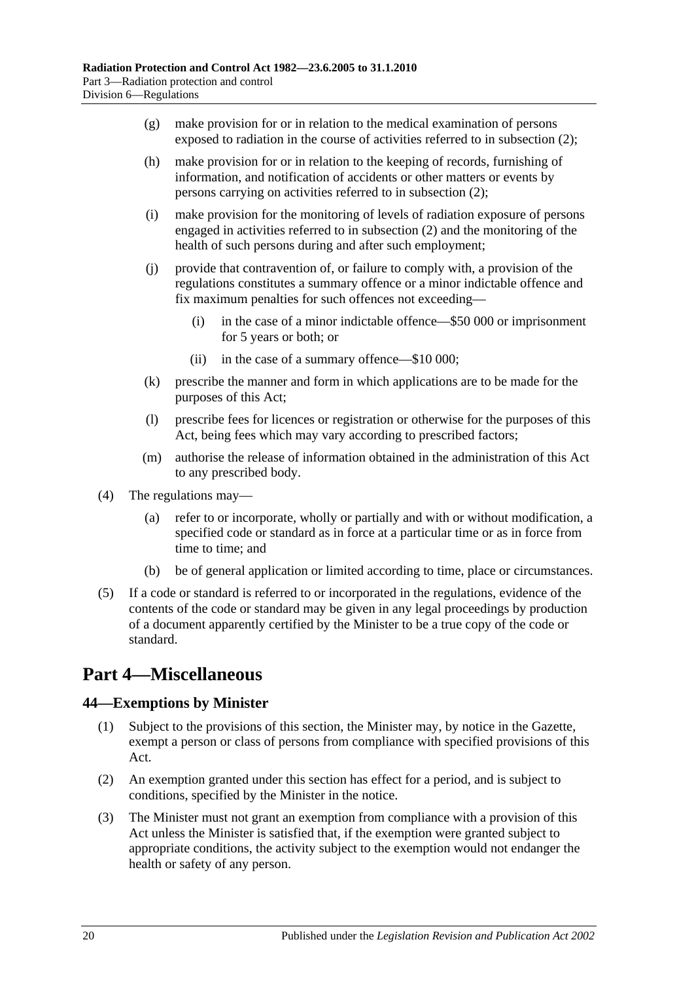- (g) make provision for or in relation to the medical examination of persons exposed to radiation in the course of activities referred to in [subsection](#page-18-3) (2);
- (h) make provision for or in relation to the keeping of records, furnishing of information, and notification of accidents or other matters or events by persons carrying on activities referred to in [subsection](#page-18-3) (2);
- (i) make provision for the monitoring of levels of radiation exposure of persons engaged in activities referred to in [subsection](#page-18-3) (2) and the monitoring of the health of such persons during and after such employment;
- (j) provide that contravention of, or failure to comply with, a provision of the regulations constitutes a summary offence or a minor indictable offence and fix maximum penalties for such offences not exceeding—
	- (i) in the case of a minor indictable offence—\$50 000 or imprisonment for 5 years or both; or
	- (ii) in the case of a summary offence—\$10 000;
- (k) prescribe the manner and form in which applications are to be made for the purposes of this Act;
- (l) prescribe fees for licences or registration or otherwise for the purposes of this Act, being fees which may vary according to prescribed factors;
- (m) authorise the release of information obtained in the administration of this Act to any prescribed body.
- (4) The regulations may—
	- (a) refer to or incorporate, wholly or partially and with or without modification, a specified code or standard as in force at a particular time or as in force from time to time; and
	- (b) be of general application or limited according to time, place or circumstances.
- (5) If a code or standard is referred to or incorporated in the regulations, evidence of the contents of the code or standard may be given in any legal proceedings by production of a document apparently certified by the Minister to be a true copy of the code or standard.

## <span id="page-19-0"></span>**Part 4—Miscellaneous**

### <span id="page-19-1"></span>**44—Exemptions by Minister**

- (1) Subject to the provisions of this section, the Minister may, by notice in the Gazette, exempt a person or class of persons from compliance with specified provisions of this Act.
- (2) An exemption granted under this section has effect for a period, and is subject to conditions, specified by the Minister in the notice.
- (3) The Minister must not grant an exemption from compliance with a provision of this Act unless the Minister is satisfied that, if the exemption were granted subject to appropriate conditions, the activity subject to the exemption would not endanger the health or safety of any person.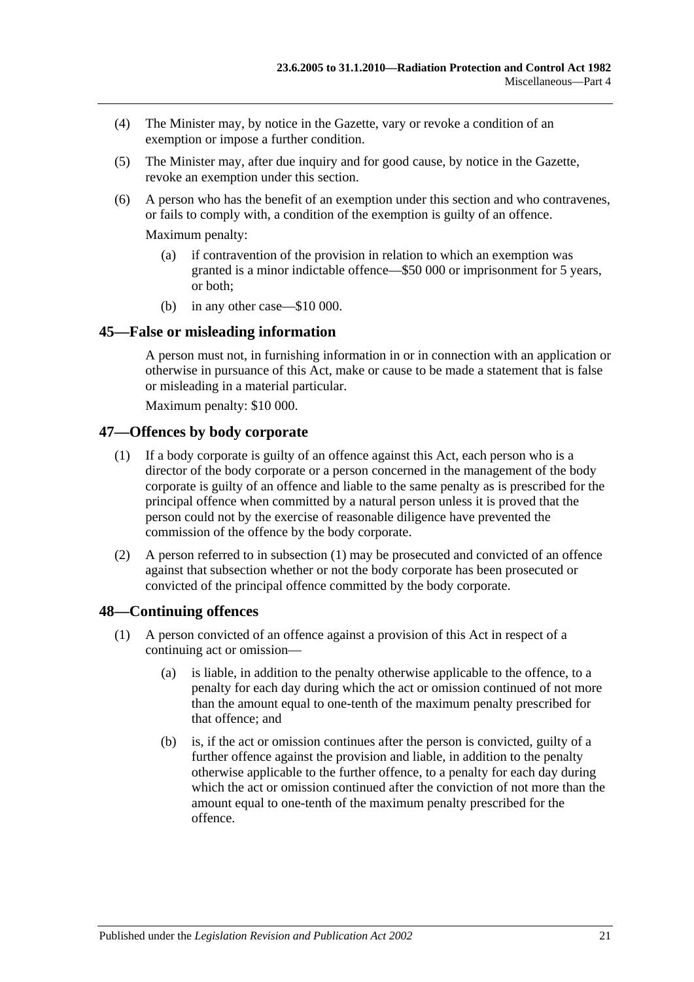- (4) The Minister may, by notice in the Gazette, vary or revoke a condition of an exemption or impose a further condition.
- (5) The Minister may, after due inquiry and for good cause, by notice in the Gazette, revoke an exemption under this section.
- (6) A person who has the benefit of an exemption under this section and who contravenes, or fails to comply with, a condition of the exemption is guilty of an offence.

Maximum penalty:

- (a) if contravention of the provision in relation to which an exemption was granted is a minor indictable offence—\$50 000 or imprisonment for 5 years, or both;
- (b) in any other case—\$10 000.

### <span id="page-20-0"></span>**45—False or misleading information**

A person must not, in furnishing information in or in connection with an application or otherwise in pursuance of this Act, make or cause to be made a statement that is false or misleading in a material particular.

Maximum penalty: \$10 000.

### <span id="page-20-3"></span><span id="page-20-1"></span>**47—Offences by body corporate**

- (1) If a body corporate is guilty of an offence against this Act, each person who is a director of the body corporate or a person concerned in the management of the body corporate is guilty of an offence and liable to the same penalty as is prescribed for the principal offence when committed by a natural person unless it is proved that the person could not by the exercise of reasonable diligence have prevented the commission of the offence by the body corporate.
- (2) A person referred to in [subsection](#page-20-3) (1) may be prosecuted and convicted of an offence against that subsection whether or not the body corporate has been prosecuted or convicted of the principal offence committed by the body corporate.

### <span id="page-20-2"></span>**48—Continuing offences**

- (1) A person convicted of an offence against a provision of this Act in respect of a continuing act or omission—
	- (a) is liable, in addition to the penalty otherwise applicable to the offence, to a penalty for each day during which the act or omission continued of not more than the amount equal to one-tenth of the maximum penalty prescribed for that offence; and
	- (b) is, if the act or omission continues after the person is convicted, guilty of a further offence against the provision and liable, in addition to the penalty otherwise applicable to the further offence, to a penalty for each day during which the act or omission continued after the conviction of not more than the amount equal to one-tenth of the maximum penalty prescribed for the offence.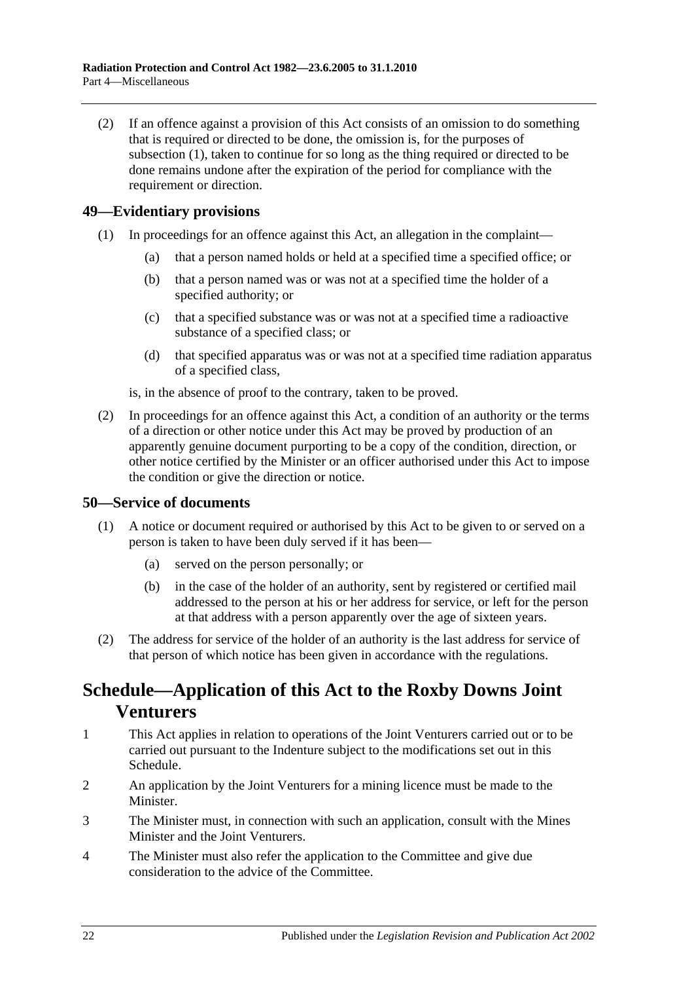(2) If an offence against a provision of this Act consists of an omission to do something that is required or directed to be done, the omission is, for the purposes of subsection (1), taken to continue for so long as the thing required or directed to be done remains undone after the expiration of the period for compliance with the requirement or direction.

### <span id="page-21-0"></span>**49—Evidentiary provisions**

- (1) In proceedings for an offence against this Act, an allegation in the complaint—
	- (a) that a person named holds or held at a specified time a specified office; or
	- (b) that a person named was or was not at a specified time the holder of a specified authority; or
	- (c) that a specified substance was or was not at a specified time a radioactive substance of a specified class; or
	- (d) that specified apparatus was or was not at a specified time radiation apparatus of a specified class,

is, in the absence of proof to the contrary, taken to be proved.

(2) In proceedings for an offence against this Act, a condition of an authority or the terms of a direction or other notice under this Act may be proved by production of an apparently genuine document purporting to be a copy of the condition, direction, or other notice certified by the Minister or an officer authorised under this Act to impose the condition or give the direction or notice.

### <span id="page-21-1"></span>**50—Service of documents**

- (1) A notice or document required or authorised by this Act to be given to or served on a person is taken to have been duly served if it has been—
	- (a) served on the person personally; or
	- (b) in the case of the holder of an authority, sent by registered or certified mail addressed to the person at his or her address for service, or left for the person at that address with a person apparently over the age of sixteen years.
- (2) The address for service of the holder of an authority is the last address for service of that person of which notice has been given in accordance with the regulations.

## <span id="page-21-2"></span>**Schedule—Application of this Act to the Roxby Downs Joint Venturers**

- 1 This Act applies in relation to operations of the Joint Venturers carried out or to be carried out pursuant to the Indenture subject to the modifications set out in this Schedule.
- 2 An application by the Joint Venturers for a mining licence must be made to the Minister.
- 3 The Minister must, in connection with such an application, consult with the Mines Minister and the Joint Venturers.
- 4 The Minister must also refer the application to the Committee and give due consideration to the advice of the Committee.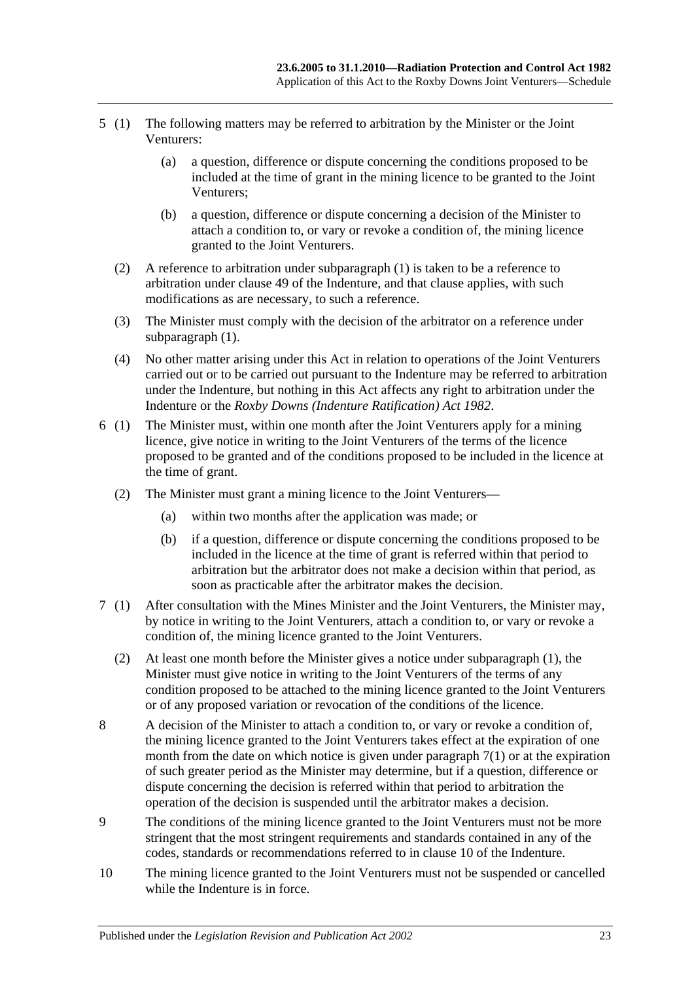- 5 (1) The following matters may be referred to arbitration by the Minister or the Joint Venturers:
	- (a) a question, difference or dispute concerning the conditions proposed to be included at the time of grant in the mining licence to be granted to the Joint Venturers;
	- (b) a question, difference or dispute concerning a decision of the Minister to attach a condition to, or vary or revoke a condition of, the mining licence granted to the Joint Venturers.
	- (2) A reference to arbitration under subparagraph (1) is taken to be a reference to arbitration under clause 49 of the Indenture, and that clause applies, with such modifications as are necessary, to such a reference.
	- (3) The Minister must comply with the decision of the arbitrator on a reference under subparagraph  $(1)$ .
	- (4) No other matter arising under this Act in relation to operations of the Joint Venturers carried out or to be carried out pursuant to the Indenture may be referred to arbitration under the Indenture, but nothing in this Act affects any right to arbitration under the Indenture or the *[Roxby Downs \(Indenture Ratification\) Act](http://www.legislation.sa.gov.au/index.aspx?action=legref&type=act&legtitle=Roxby%20Downs%20(Indenture%20Ratification)%20Act%201982) 1982*.
- 6 (1) The Minister must, within one month after the Joint Venturers apply for a mining licence, give notice in writing to the Joint Venturers of the terms of the licence proposed to be granted and of the conditions proposed to be included in the licence at the time of grant.
	- (2) The Minister must grant a mining licence to the Joint Venturers—
		- (a) within two months after the application was made; or
		- (b) if a question, difference or dispute concerning the conditions proposed to be included in the licence at the time of grant is referred within that period to arbitration but the arbitrator does not make a decision within that period, as soon as practicable after the arbitrator makes the decision.
- 7 (1) After consultation with the Mines Minister and the Joint Venturers, the Minister may, by notice in writing to the Joint Venturers, attach a condition to, or vary or revoke a condition of, the mining licence granted to the Joint Venturers.
	- (2) At least one month before the Minister gives a notice under subparagraph (1), the Minister must give notice in writing to the Joint Venturers of the terms of any condition proposed to be attached to the mining licence granted to the Joint Venturers or of any proposed variation or revocation of the conditions of the licence.
- 8 A decision of the Minister to attach a condition to, or vary or revoke a condition of, the mining licence granted to the Joint Venturers takes effect at the expiration of one month from the date on which notice is given under paragraph 7(1) or at the expiration of such greater period as the Minister may determine, but if a question, difference or dispute concerning the decision is referred within that period to arbitration the operation of the decision is suspended until the arbitrator makes a decision.
- 9 The conditions of the mining licence granted to the Joint Venturers must not be more stringent that the most stringent requirements and standards contained in any of the codes, standards or recommendations referred to in clause 10 of the Indenture.
- 10 The mining licence granted to the Joint Venturers must not be suspended or cancelled while the Indenture is in force.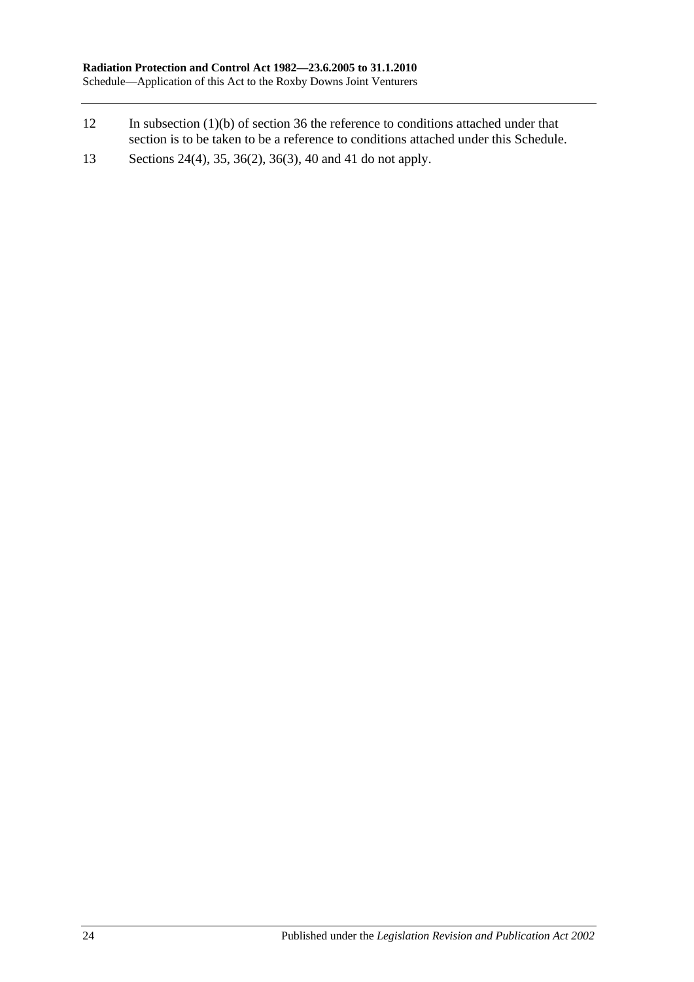- 12 In [subsection](#page-14-6) (1)(b) of [section](#page-14-4) 36 the reference to conditions attached under that section is to be taken to be a reference to conditions attached under this Schedule.
- 13 [Sections](#page-10-7) 24(4), 35, [36\(2\),](#page-14-5) [36\(3\),](#page-14-7) [40](#page-15-2) and [41](#page-16-0) do not apply.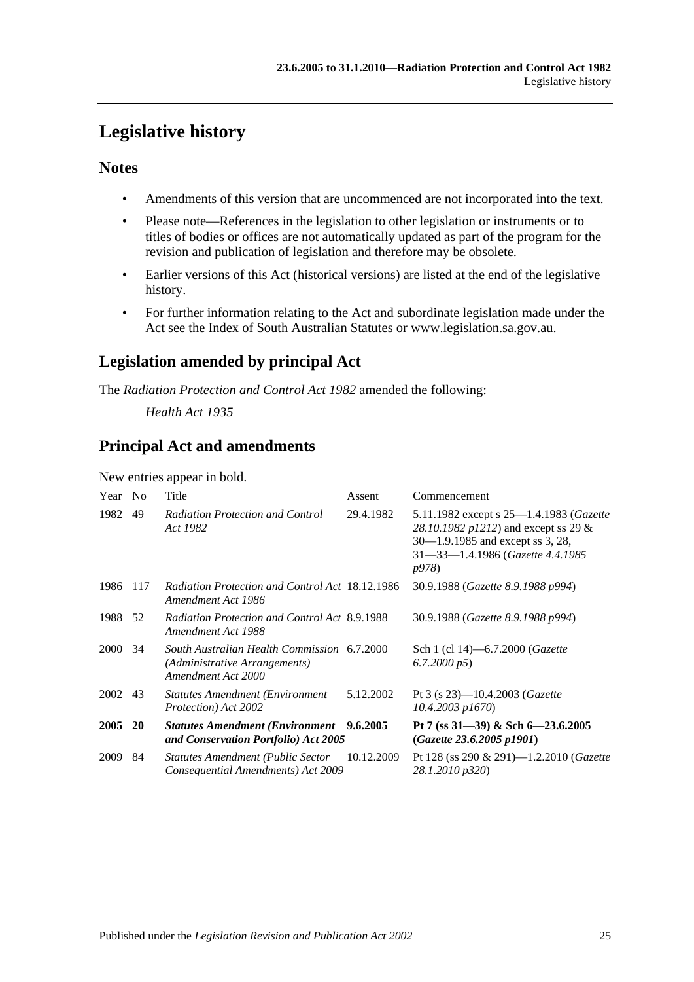## <span id="page-24-0"></span>**Legislative history**

### **Notes**

- Amendments of this version that are uncommenced are not incorporated into the text.
- Please note—References in the legislation to other legislation or instruments or to titles of bodies or offices are not automatically updated as part of the program for the revision and publication of legislation and therefore may be obsolete.
- Earlier versions of this Act (historical versions) are listed at the end of the legislative history.
- For further information relating to the Act and subordinate legislation made under the Act see the Index of South Australian Statutes or www.legislation.sa.gov.au.

### **Legislation amended by principal Act**

The *Radiation Protection and Control Act 1982* amended the following:

*Health Act 1935*

### **Principal Act and amendments**

New entries appear in bold.

| Year    | N <sub>0</sub> | Title                                                                                                     | Assent     | Commencement                                                                                                                                                                      |
|---------|----------------|-----------------------------------------------------------------------------------------------------------|------------|-----------------------------------------------------------------------------------------------------------------------------------------------------------------------------------|
| 1982    | 49             | <b>Radiation Protection and Control</b><br>Act 1982                                                       | 29.4.1982  | 5.11.1982 except s 25—1.4.1983 ( <i>Gazette</i><br>28.10.1982 p1212) and except ss 29 &<br>30–1.9.1985 and except ss 3, 28,<br>31-33-1.4.1986 (Gazette 4.4.1985)<br><i>p</i> 978) |
| 1986    | 117            | Radiation Protection and Control Act 18.12.1986<br>Amendment Act 1986                                     |            | 30.9.1988 (Gazette 8.9.1988 p994)                                                                                                                                                 |
| 1988    | 52             | Radiation Protection and Control Act 8.9.1988<br>Amendment Act 1988                                       |            | 30.9.1988 (Gazette 8.9.1988 p994)                                                                                                                                                 |
| 2000    | 34             | South Australian Health Commission 6.7.2000<br><i>(Administrative Arrangements)</i><br>Amendment Act 2000 |            | Sch 1 (cl 14)–6.7.2000 ( <i>Gazette</i><br>6.7.2000 p5                                                                                                                            |
| 2002 43 |                | <b>Statutes Amendment (Environment</b> )<br>Protection) Act 2002                                          | 5.12.2002  | Pt 3 (s $23$ )—10.4.2003 ( <i>Gazette</i><br>$10.4.2003$ $p1670$                                                                                                                  |
| 2005    | 20             | <b>Statutes Amendment (Environment</b><br>and Conservation Portfolio) Act 2005                            | 9.6.2005   | Pt 7 (ss $31-39$ ) & Sch 6-23.6.2005<br>(Gazette 23.6.2005 p1901)                                                                                                                 |
| 2009    | 84             | <b>Statutes Amendment (Public Sector</b><br>Consequential Amendments) Act 2009                            | 10.12.2009 | Pt 128 (ss 290 & 291)—1.2.2010 (Gazette<br>28.1.2010 p320)                                                                                                                        |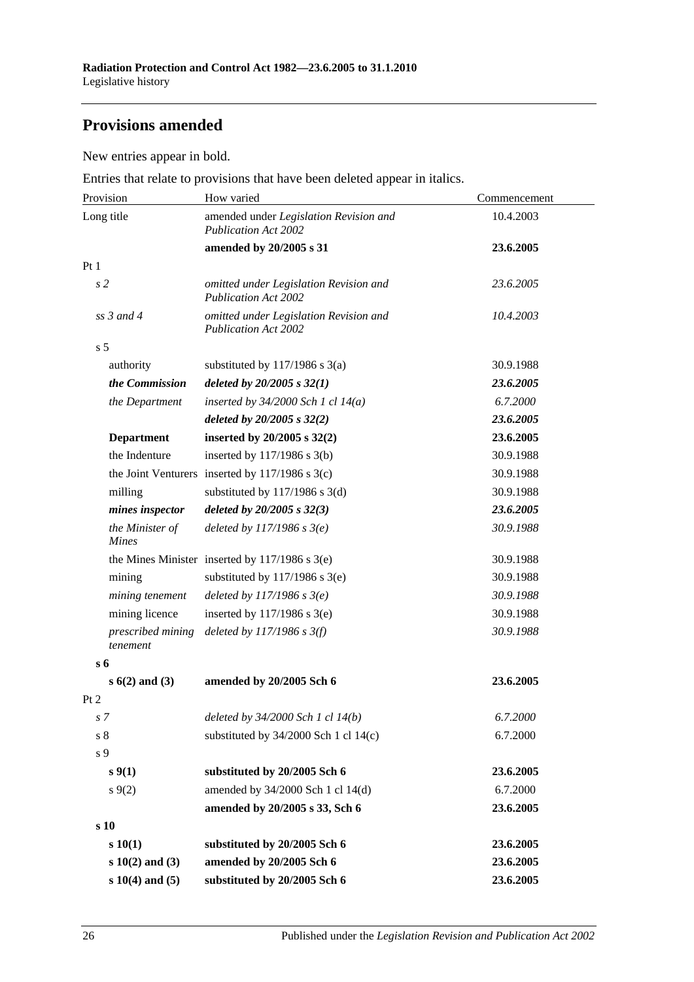### **Provisions amended**

New entries appear in bold.

Entries that relate to provisions that have been deleted appear in italics.

| Provision                       | How varied                                                            | Commencement |  |
|---------------------------------|-----------------------------------------------------------------------|--------------|--|
| Long title                      | amended under Legislation Revision and<br><b>Publication Act 2002</b> | 10.4.2003    |  |
|                                 | amended by 20/2005 s 31                                               | 23.6.2005    |  |
| Pt <sub>1</sub>                 |                                                                       |              |  |
| s <sub>2</sub>                  | omitted under Legislation Revision and<br><b>Publication Act 2002</b> | 23.6.2005    |  |
| $ss$ 3 and 4                    | omitted under Legislation Revision and<br><b>Publication Act 2002</b> | 10.4.2003    |  |
| s <sub>5</sub>                  |                                                                       |              |  |
| authority                       | substituted by $117/1986$ s $3(a)$                                    | 30.9.1988    |  |
| the Commission                  | deleted by $20/2005 s 32(1)$                                          | 23.6.2005    |  |
| the Department                  | inserted by $34/2000$ Sch 1 cl $14(a)$                                | 6.7.2000     |  |
|                                 | deleted by $20/2005 s 32(2)$                                          | 23.6.2005    |  |
| <b>Department</b>               | inserted by $20/2005$ s $32(2)$                                       | 23.6.2005    |  |
| the Indenture                   | inserted by 117/1986 s 3(b)                                           | 30.9.1988    |  |
|                                 | the Joint Venturers inserted by $117/1986$ s 3(c)                     | 30.9.1988    |  |
| milling                         | substituted by $117/1986$ s 3(d)                                      | 30.9.1988    |  |
| mines inspector                 | deleted by $20/2005 s 32(3)$                                          | 23.6.2005    |  |
| the Minister of<br><b>Mines</b> | deleted by $117/1986 s 3(e)$                                          | 30.9.1988    |  |
|                                 | the Mines Minister inserted by $117/1986$ s $3(e)$                    | 30.9.1988    |  |
| mining                          | substituted by $117/1986$ s $3(e)$                                    | 30.9.1988    |  |
| mining tenement                 | deleted by $117/1986$ s $3(e)$                                        | 30.9.1988    |  |
| mining licence                  | inserted by $117/1986$ s $3(e)$                                       | 30.9.1988    |  |
| prescribed mining<br>tenement   | deleted by $117/1986$ s $3(f)$                                        | 30.9.1988    |  |
| $s\,6$                          |                                                                       |              |  |
| $s(6(2)$ and $(3)$              | amended by 20/2005 Sch 6                                              | 23.6.2005    |  |
| Pt 2                            |                                                                       |              |  |
| s 7                             | deleted by 34/2000 Sch 1 cl 14(b)                                     | 6.7.2000     |  |
| $\sqrt{s}$ 8                    | substituted by $34/2000$ Sch 1 cl $14(c)$                             | 6.7.2000     |  |
| s 9                             |                                                                       |              |  |
| s(1)                            | substituted by 20/2005 Sch 6                                          | 23.6.2005    |  |
| $s \, 9(2)$                     | amended by 34/2000 Sch 1 cl 14(d)                                     | 6.7.2000     |  |
|                                 | amended by 20/2005 s 33, Sch 6                                        | 23.6.2005    |  |
| s 10                            |                                                                       |              |  |
| s 10(1)                         | substituted by 20/2005 Sch 6                                          | 23.6.2005    |  |
| $s 10(2)$ and (3)               | amended by 20/2005 Sch 6                                              | 23.6.2005    |  |
| $s 10(4)$ and $(5)$             | substituted by 20/2005 Sch 6                                          | 23.6.2005    |  |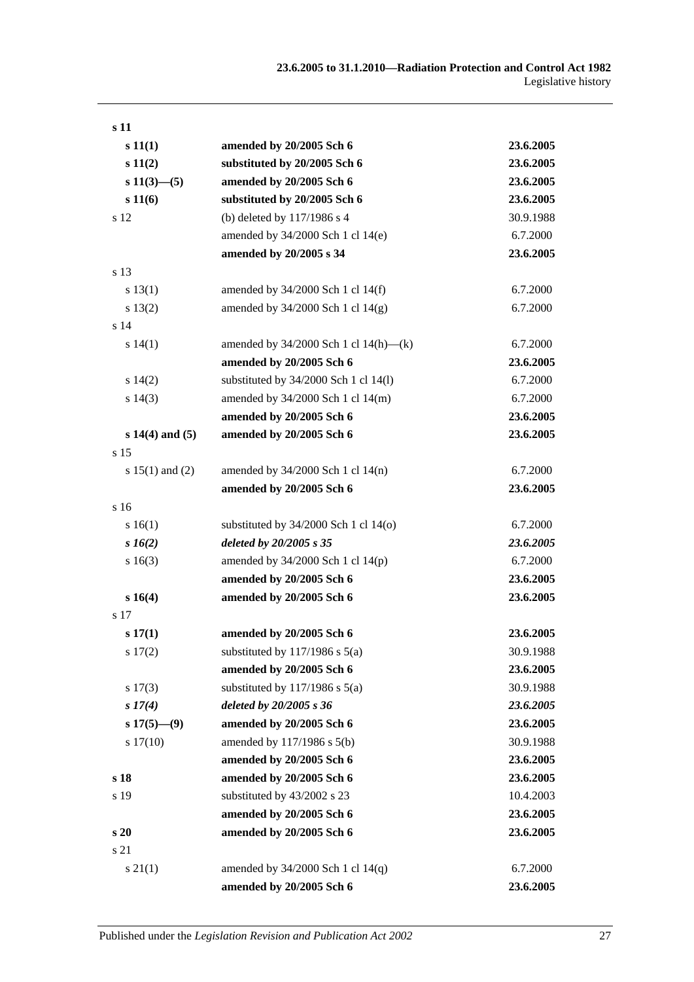| s 11                |                                            |           |
|---------------------|--------------------------------------------|-----------|
| s 11(1)             | amended by 20/2005 Sch 6                   | 23.6.2005 |
| s 11(2)             | substituted by 20/2005 Sch 6               | 23.6.2005 |
| $s\ 11(3)$ —(5)     | amended by 20/2005 Sch 6                   | 23.6.2005 |
| s 11(6)             | substituted by 20/2005 Sch 6               | 23.6.2005 |
| s 12                | (b) deleted by 117/1986 s 4                | 30.9.1988 |
|                     | amended by 34/2000 Sch 1 cl 14(e)          | 6.7.2000  |
|                     | amended by 20/2005 s 34                    | 23.6.2005 |
| s 13                |                                            |           |
| s 13(1)             | amended by 34/2000 Sch 1 cl 14(f)          | 6.7.2000  |
| s 13(2)             | amended by $34/2000$ Sch 1 cl $14(g)$      | 6.7.2000  |
| s <sub>14</sub>     |                                            |           |
| s 14(1)             | amended by $34/2000$ Sch 1 cl $14(h)$ —(k) | 6.7.2000  |
|                     | amended by 20/2005 Sch 6                   | 23.6.2005 |
| s 14(2)             | substituted by 34/2000 Sch 1 cl 14(l)      | 6.7.2000  |
| s 14(3)             | amended by 34/2000 Sch 1 cl 14(m)          | 6.7.2000  |
|                     | amended by 20/2005 Sch 6                   | 23.6.2005 |
| $s 14(4)$ and $(5)$ | amended by 20/2005 Sch 6                   | 23.6.2005 |
| s 15                |                                            |           |
| s $15(1)$ and $(2)$ | amended by $34/2000$ Sch 1 cl $14(n)$      | 6.7.2000  |
|                     | amended by 20/2005 Sch 6                   | 23.6.2005 |
| s 16                |                                            |           |
| s 16(1)             | substituted by $34/2000$ Sch 1 cl 14(o)    | 6.7.2000  |
| $s\,16(2)$          | deleted by 20/2005 s 35                    | 23.6.2005 |
| s 16(3)             | amended by $34/2000$ Sch 1 cl $14(p)$      | 6.7.2000  |
|                     | amended by 20/2005 Sch 6                   | 23.6.2005 |
| s 16(4)             | amended by 20/2005 Sch 6                   | 23.6.2005 |
| s 17                |                                            |           |
| $s\,17(1)$          | amended by 20/2005 Sch 6                   | 23.6.2005 |
| $s\ 17(2)$          | substituted by $117/1986$ s $5(a)$         | 30.9.1988 |
|                     | amended by 20/2005 Sch 6                   | 23.6.2005 |
| s 17(3)             | substituted by $117/1986$ s $5(a)$         | 30.9.1988 |
| s 17(4)             | deleted by 20/2005 s 36                    | 23.6.2005 |
| $s 17(5)$ — $(9)$   | amended by 20/2005 Sch 6                   | 23.6.2005 |
| s 17(10)            | amended by 117/1986 s 5(b)                 | 30.9.1988 |
|                     | amended by 20/2005 Sch 6                   | 23.6.2005 |
| s 18                | amended by 20/2005 Sch 6                   | 23.6.2005 |
| s 19                | substituted by 43/2002 s 23                | 10.4.2003 |
|                     | amended by 20/2005 Sch 6                   | 23.6.2005 |
| s <sub>20</sub>     | amended by 20/2005 Sch 6                   | 23.6.2005 |
| s 21                |                                            |           |
| $s \, 21(1)$        | amended by $34/2000$ Sch 1 cl $14(q)$      | 6.7.2000  |
|                     | amended by 20/2005 Sch 6                   | 23.6.2005 |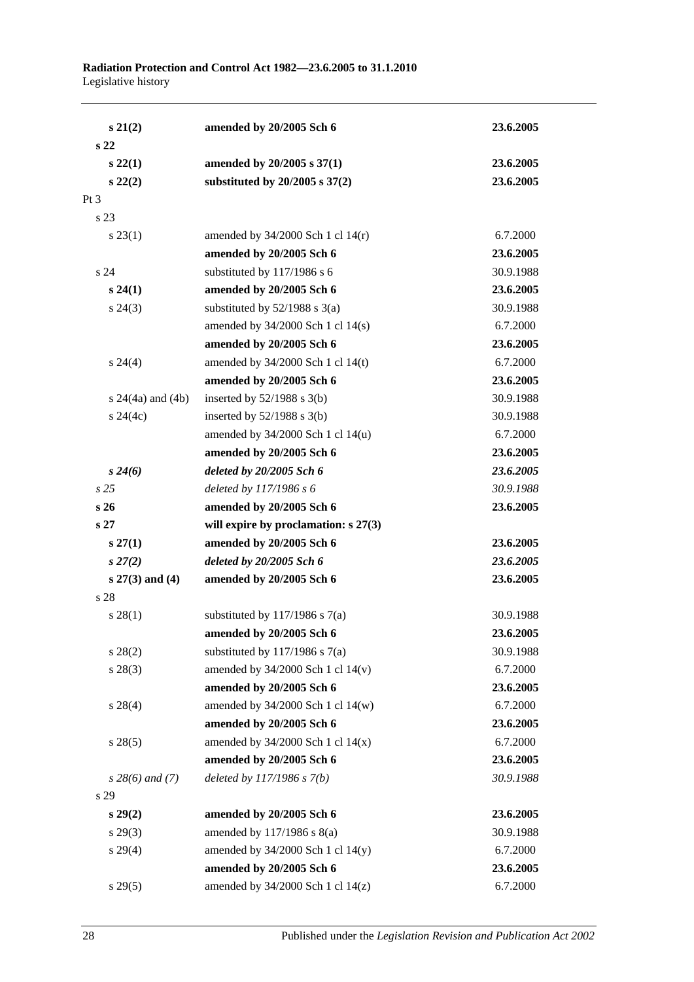| $s\ 21(2)$            | amended by 20/2005 Sch 6               | 23.6.2005 |
|-----------------------|----------------------------------------|-----------|
| s <sub>22</sub>       |                                        |           |
| $s\,22(1)$            | amended by 20/2005 s 37(1)             | 23.6.2005 |
| $s\ 22(2)$            | substituted by $20/2005$ s $37(2)$     | 23.6.2005 |
| Pt 3                  |                                        |           |
| s 23                  |                                        |           |
| $s\,23(1)$            | amended by $34/2000$ Sch 1 cl $14(r)$  | 6.7.2000  |
|                       | amended by 20/2005 Sch 6               | 23.6.2005 |
| s 24                  | substituted by 117/1986 s 6            | 30.9.1988 |
| $s\,24(1)$            | amended by 20/2005 Sch 6               | 23.6.2005 |
| $s\,24(3)$            | substituted by $52/1988$ s $3(a)$      | 30.9.1988 |
|                       | amended by 34/2000 Sch 1 cl 14(s)      | 6.7.2000  |
|                       | amended by 20/2005 Sch 6               | 23.6.2005 |
| $s\,24(4)$            | amended by $34/2000$ Sch 1 cl 14(t)    | 6.7.2000  |
|                       | amended by 20/2005 Sch 6               | 23.6.2005 |
| s $24(4a)$ and $(4b)$ | inserted by $52/1988$ s $3(b)$         | 30.9.1988 |
| $s\,24(4c)$           | inserted by $52/1988$ s $3(b)$         | 30.9.1988 |
|                       | amended by 34/2000 Sch 1 cl 14(u)      | 6.7.2000  |
|                       | amended by 20/2005 Sch 6               | 23.6.2005 |
| $s\,24(6)$            | deleted by 20/2005 Sch 6               | 23.6.2005 |
| s25                   | deleted by 117/1986 s 6                | 30.9.1988 |
| s26                   | amended by 20/2005 Sch 6               | 23.6.2005 |
| s <sub>27</sub>       | will expire by proclamation: $s$ 27(3) |           |
| $s\,27(1)$            | amended by 20/2005 Sch 6               | 23.6.2005 |
| $s\,27(2)$            | deleted by $20/2005$ Sch $6$           | 23.6.2005 |
| $s 27(3)$ and (4)     | amended by 20/2005 Sch 6               | 23.6.2005 |
| s 28                  |                                        |           |
| $s\,28(1)$            | substituted by $117/1986$ s $7(a)$     | 30.9.1988 |
|                       | amended by 20/2005 Sch 6               | 23.6.2005 |
| $s\,28(2)$            | substituted by $117/1986$ s $7(a)$     | 30.9.1988 |
| $s\,28(3)$            | amended by $34/2000$ Sch 1 cl $14(v)$  | 6.7.2000  |
|                       | amended by 20/2005 Sch 6               | 23.6.2005 |
| $s\,28(4)$            | amended by 34/2000 Sch 1 cl 14(w)      | 6.7.2000  |
|                       | amended by 20/2005 Sch 6               | 23.6.2005 |
| $s\,28(5)$            | amended by $34/2000$ Sch 1 cl $14(x)$  | 6.7.2000  |
|                       | amended by 20/2005 Sch 6               | 23.6.2005 |
| $s\,28(6)$ and (7)    | deleted by $117/1986 s 7(b)$           | 30.9.1988 |
| s 29                  |                                        |           |
| $s\,29(2)$            | amended by 20/2005 Sch 6               | 23.6.2005 |
| $s\,29(3)$            | amended by 117/1986 s 8(a)             | 30.9.1988 |
| $s\,29(4)$            | amended by 34/2000 Sch 1 cl 14(y)      | 6.7.2000  |
|                       | amended by 20/2005 Sch 6               | 23.6.2005 |
| s 29(5)               | amended by $34/2000$ Sch 1 cl $14(z)$  | 6.7.2000  |
|                       |                                        |           |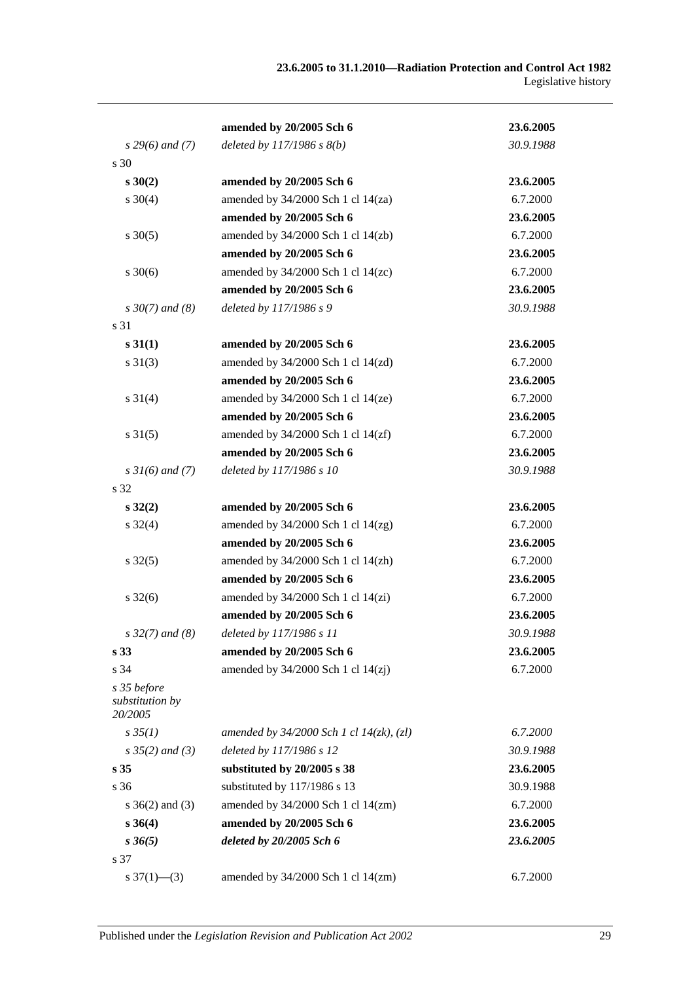|                                           | amended by 20/2005 Sch 6                      | 23.6.2005 |
|-------------------------------------------|-----------------------------------------------|-----------|
| $s$ 29(6) and (7)                         | deleted by $117/1986 s 8(b)$                  | 30.9.1988 |
| s 30                                      |                                               |           |
| $s \, 30(2)$                              | amended by 20/2005 Sch 6                      | 23.6.2005 |
| $s \ 30(4)$                               | amended by $34/2000$ Sch 1 cl $14(za)$        | 6.7.2000  |
|                                           | amended by 20/2005 Sch 6                      | 23.6.2005 |
| $s \, 30(5)$                              | amended by $34/2000$ Sch 1 cl $14$ (zb)       | 6.7.2000  |
|                                           | amended by 20/2005 Sch 6                      | 23.6.2005 |
| $s \ 30(6)$                               | amended by $34/2000$ Sch 1 cl $14(zc)$        | 6.7.2000  |
|                                           | amended by 20/2005 Sch 6                      | 23.6.2005 |
| $s \, 30(7)$ and (8)                      | deleted by 117/1986 s 9                       | 30.9.1988 |
| s 31                                      |                                               |           |
| s 31(1)                                   | amended by 20/2005 Sch 6                      | 23.6.2005 |
| $s \ 31(3)$                               | amended by $34/2000$ Sch 1 cl $14(zd)$        | 6.7.2000  |
|                                           | amended by 20/2005 Sch 6                      | 23.6.2005 |
| $s \ 31(4)$                               | amended by $34/2000$ Sch 1 cl $14(ze)$        | 6.7.2000  |
|                                           | amended by 20/2005 Sch 6                      | 23.6.2005 |
| $s \, 31(5)$                              | amended by $34/2000$ Sch 1 cl $14(zf)$        | 6.7.2000  |
|                                           | amended by 20/2005 Sch 6                      | 23.6.2005 |
| $s \, 31(6)$ and (7)                      | deleted by 117/1986 s 10                      | 30.9.1988 |
| s 32                                      |                                               |           |
| $s\,32(2)$                                | amended by 20/2005 Sch 6                      | 23.6.2005 |
| $s \, 32(4)$                              | amended by $34/2000$ Sch 1 cl $14(2g)$        | 6.7.2000  |
|                                           | amended by 20/2005 Sch 6                      | 23.6.2005 |
| $s \, 32(5)$                              | amended by $34/2000$ Sch 1 cl $14(\text{zh})$ | 6.7.2000  |
|                                           | amended by 20/2005 Sch 6                      | 23.6.2005 |
| $s \, 32(6)$                              | amended by $34/2000$ Sch 1 cl $14(zi)$        | 6.7.2000  |
|                                           | amended by 20/2005 Sch 6                      | 23.6.2005 |
| $s\,32(7)$ and (8)                        | deleted by 117/1986 s 11                      | 30.9.1988 |
| s <sub>33</sub>                           | amended by 20/2005 Sch 6                      | 23.6.2005 |
| s 34                                      | amended by $34/2000$ Sch 1 cl $14(zi)$        | 6.7.2000  |
| s 35 before<br>substitution by<br>20/2005 |                                               |           |
| $s \, 35(1)$                              | amended by $34/2000$ Sch 1 cl $14(zk)$ , (zl) | 6.7.2000  |
| $s \, 35(2)$ and (3)                      | deleted by 117/1986 s 12                      | 30.9.1988 |
| s <sub>35</sub>                           | substituted by 20/2005 s 38                   | 23.6.2005 |
| s <sub>36</sub>                           | substituted by 117/1986 s 13                  | 30.9.1988 |
| s $36(2)$ and $(3)$                       | amended by 34/2000 Sch 1 cl 14(zm)            | 6.7.2000  |
| $s \, 36(4)$                              | amended by 20/2005 Sch 6                      | 23.6.2005 |
| $s \, 36(5)$                              | deleted by 20/2005 Sch 6                      | 23.6.2005 |
| s 37                                      |                                               |           |
| s $37(1)$ — $(3)$                         | amended by 34/2000 Sch 1 cl 14(zm)            | 6.7.2000  |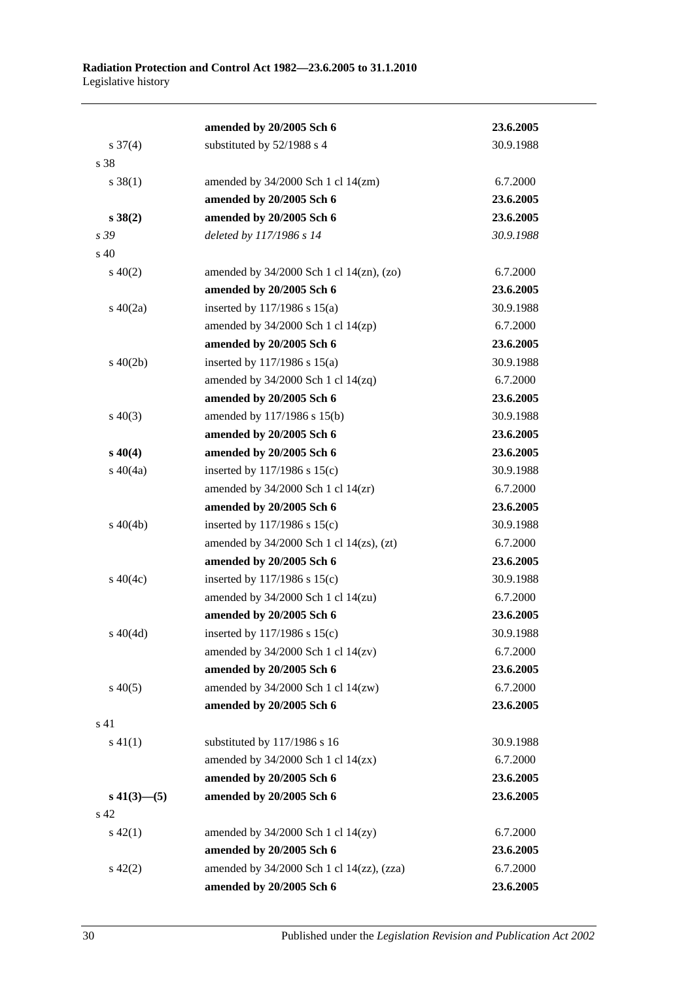|                     | amended by 20/2005 Sch 6                        | 23.6.2005 |
|---------------------|-------------------------------------------------|-----------|
| $s \frac{37(4)}{2}$ | substituted by 52/1988 s 4                      | 30.9.1988 |
| s 38                |                                                 |           |
| $s \, 38(1)$        | amended by $34/2000$ Sch 1 cl $14$ (zm)         | 6.7.2000  |
|                     | amended by 20/2005 Sch 6                        | 23.6.2005 |
| $s \, 38(2)$        | amended by 20/2005 Sch 6                        | 23.6.2005 |
| s 39                | deleted by 117/1986 s 14                        | 30.9.1988 |
| s 40                |                                                 |           |
| $s\ 40(2)$          | amended by $34/2000$ Sch 1 cl $14$ (zn), (zo)   | 6.7.2000  |
|                     | amended by 20/2005 Sch 6                        | 23.6.2005 |
| $s\ 40(2a)$         | inserted by 117/1986 s 15(a)                    | 30.9.1988 |
|                     | amended by $34/2000$ Sch 1 cl $14$ (zp)         | 6.7.2000  |
|                     | amended by 20/2005 Sch 6                        | 23.6.2005 |
| $s\ 40(2b)$         | inserted by $117/1986$ s $15(a)$                | 30.9.1988 |
|                     | amended by $34/2000$ Sch 1 cl $14(zq)$          | 6.7.2000  |
|                     | amended by 20/2005 Sch 6                        | 23.6.2005 |
| $s\ 40(3)$          | amended by 117/1986 s 15(b)                     | 30.9.1988 |
|                     | amended by 20/2005 Sch 6                        | 23.6.2005 |
| $s\,40(4)$          | amended by 20/2005 Sch 6                        | 23.6.2005 |
| $s\ 40(4a)$         | inserted by $117/1986$ s $15(c)$                | 30.9.1988 |
|                     | amended by $34/2000$ Sch 1 cl $14(zr)$          | 6.7.2000  |
|                     | amended by 20/2005 Sch 6                        | 23.6.2005 |
| $s\ 40(4b)$         | inserted by $117/1986$ s $15(c)$                | 30.9.1988 |
|                     | amended by $34/2000$ Sch 1 cl $14(zs)$ , $(zt)$ | 6.7.2000  |
|                     | amended by 20/2005 Sch 6                        | 23.6.2005 |
| $s\ 40(4c)$         | inserted by $117/1986$ s $15(c)$                | 30.9.1988 |
|                     | amended by $34/2000$ Sch 1 cl $14(zu)$          | 6.7.2000  |
|                     | amended by 20/2005 Sch 6                        | 23.6.2005 |
| $s\ 40(4d)$         | inserted by 117/1986 s 15(c)                    | 30.9.1988 |
|                     | amended by $34/2000$ Sch 1 cl $14(zv)$          | 6.7.2000  |
|                     | amended by 20/2005 Sch 6                        | 23.6.2005 |
| $s\,40(5)$          | amended by $34/2000$ Sch 1 cl $14(xw)$          | 6.7.2000  |
|                     | amended by 20/2005 Sch 6                        | 23.6.2005 |
| s 41                |                                                 |           |
| $s\ 41(1)$          | substituted by 117/1986 s 16                    | 30.9.1988 |
|                     | amended by $34/2000$ Sch 1 cl $14(zx)$          | 6.7.2000  |
|                     | amended by 20/2005 Sch 6                        | 23.6.2005 |
| $s\,41(3)$ —(5)     | amended by 20/2005 Sch 6                        | 23.6.2005 |
| s 42                |                                                 |           |
| $s\ 42(1)$          | amended by $34/2000$ Sch 1 cl $14(zy)$          | 6.7.2000  |
|                     | amended by 20/2005 Sch 6                        | 23.6.2005 |
| $s\ 42(2)$          | amended by 34/2000 Sch 1 cl 14(zz), (zza)       | 6.7.2000  |
|                     | amended by 20/2005 Sch 6                        | 23.6.2005 |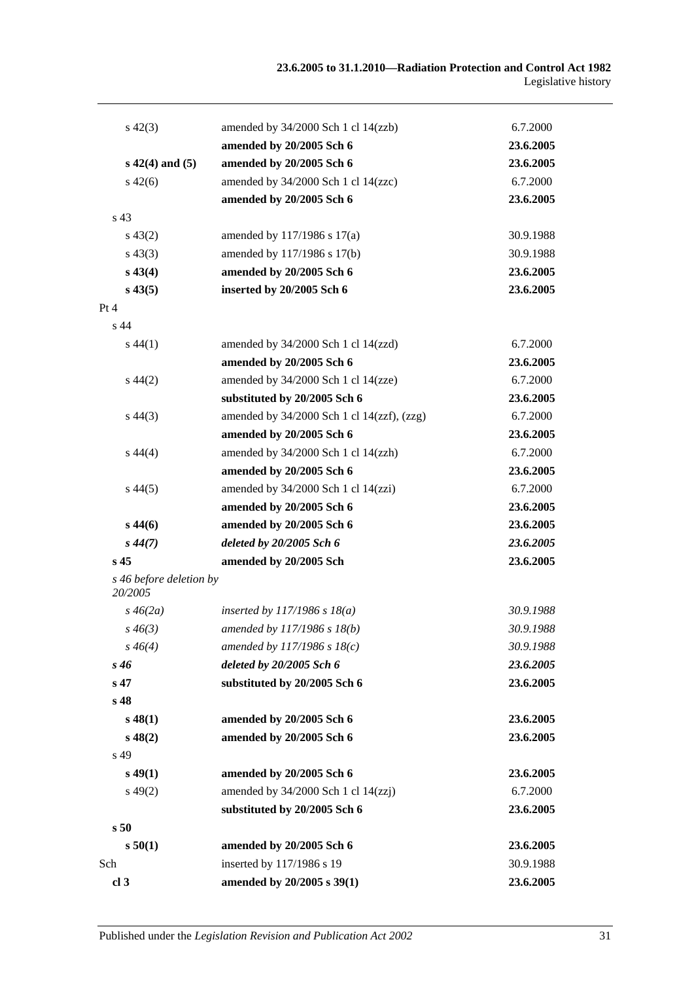| $s\,42(3)$                         | amended by 34/2000 Sch 1 cl 14(zzb)        | 6.7.2000  |
|------------------------------------|--------------------------------------------|-----------|
|                                    | amended by 20/2005 Sch 6                   | 23.6.2005 |
| $s\ 42(4)$ and (5)                 | amended by 20/2005 Sch 6                   | 23.6.2005 |
| $s\,42(6)$                         | amended by 34/2000 Sch 1 cl 14(zzc)        | 6.7.2000  |
|                                    | amended by 20/2005 Sch 6                   | 23.6.2005 |
| s <sub>43</sub>                    |                                            |           |
| $s\,43(2)$                         | amended by 117/1986 s 17(a)                | 30.9.1988 |
| $s\,43(3)$                         | amended by 117/1986 s 17(b)                | 30.9.1988 |
| $s\,43(4)$                         | amended by 20/2005 Sch 6                   | 23.6.2005 |
| $s\,43(5)$                         | inserted by 20/2005 Sch 6                  | 23.6.2005 |
| Pt 4                               |                                            |           |
| $s$ 44                             |                                            |           |
| $s\,44(1)$                         | amended by $34/2000$ Sch 1 cl $14(zzd)$    | 6.7.2000  |
|                                    | amended by 20/2005 Sch 6                   | 23.6.2005 |
| $s\,44(2)$                         | amended by 34/2000 Sch 1 cl 14(zze)        | 6.7.2000  |
|                                    | substituted by 20/2005 Sch 6               | 23.6.2005 |
| $s\,44(3)$                         | amended by 34/2000 Sch 1 cl 14(zzf), (zzg) | 6.7.2000  |
|                                    | amended by 20/2005 Sch 6                   | 23.6.2005 |
| $s\,44(4)$                         | amended by 34/2000 Sch 1 cl 14(zzh)        | 6.7.2000  |
|                                    | amended by 20/2005 Sch 6                   | 23.6.2005 |
| $s\,44(5)$                         | amended by $34/2000$ Sch 1 cl $14(zzi)$    | 6.7.2000  |
|                                    | amended by 20/2005 Sch 6                   | 23.6.2005 |
| $s\,44(6)$                         | amended by 20/2005 Sch 6                   | 23.6.2005 |
| $s\,44(7)$                         | deleted by 20/2005 Sch 6                   | 23.6.2005 |
| s <sub>45</sub>                    | amended by 20/2005 Sch                     | 23.6.2005 |
| s 46 before deletion by<br>20/2005 |                                            |           |
| $s\,46(2a)$                        | inserted by $117/1986$ s $18(a)$           | 30.9.1988 |
| $s\,46(3)$                         | amended by 117/1986 s 18(b)                | 30.9.1988 |
| $s\,46(4)$                         | amended by $117/1986$ s $18(c)$            | 30.9.1988 |
| $s\,46$                            | deleted by 20/2005 Sch 6                   | 23.6.2005 |
| s 47                               | substituted by 20/2005 Sch 6               | 23.6.2005 |
| s <sub>48</sub>                    |                                            |           |
| $s\,48(1)$                         | amended by 20/2005 Sch 6                   | 23.6.2005 |
| $s\,48(2)$                         | amended by 20/2005 Sch 6                   | 23.6.2005 |
| s 49                               |                                            |           |
| $s\,49(1)$                         | amended by 20/2005 Sch 6                   | 23.6.2005 |
| $s\,49(2)$                         | amended by $34/2000$ Sch 1 cl $14(zzj)$    | 6.7.2000  |
|                                    | substituted by 20/2005 Sch 6               | 23.6.2005 |
| s50                                |                                            |           |
| s 50(1)                            | amended by 20/2005 Sch 6                   | 23.6.2005 |
| Sch                                | inserted by 117/1986 s 19                  | 30.9.1988 |
| cl <sub>3</sub>                    | amended by 20/2005 s 39(1)                 | 23.6.2005 |